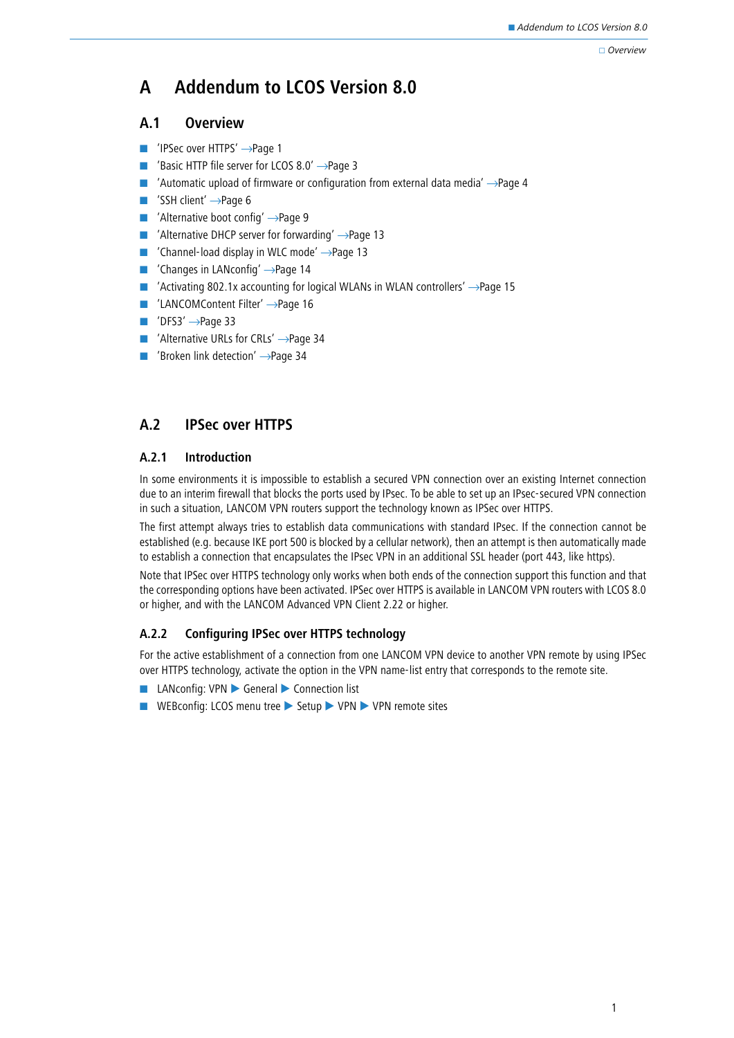#### Overview

# **A Addendum to LCOS Version 8.0**

## **A.1 Overview**

- ['IPSec over HTTPS'](#page-0-0) →Page 1
- -['Basic HTTP file server for LCOS 8.0'](#page-2-0)  $\rightarrow$ Page 3
- -['Automatic upload of firmware or configuration from external data media'](#page-3-0)  $\rightarrow$ Page 4
- -['SSH client'](#page-5-0) →Page 6
- -['Alternative boot config'](#page-8-0) →Page 9
- -['Alternative DHCP server for forwarding'](#page-12-0) →Page 13
- -['Channel-load display in WLC mode'](#page-12-1) →Page 13
- -['Changes in LANconfig'](#page-13-0) →Page 14
- -['Activating 802.1x accounting for logical WLANs in WLAN controllers'](#page-14-0) →Page 15
- -['LANCOMContent Filter'](#page-15-0) → Page 16
- -'DFS3' →[Page 33](#page-32-0)
- ['Alternative URLs for CRLs'](#page-33-0) → Page 34
- ['Broken link detection'](#page-33-1) →Page 34

# <span id="page-0-0"></span>**A.2 IPSec over HTTPS**

## **A.2.1 Introduction**

In some environments it is impossible to establish a secured VPN connection over an existing Internet connection due to an interim firewall that blocks the ports used by IPsec. To be able to set up an IPsec-secured VPN connection in such a situation, LANCOM VPN routers support the technology known as IPSec over HTTPS.

The first attempt always tries to establish data communications with standard IPsec. If the connection cannot be established (e.g. because IKE port 500 is blocked by a cellular network), then an attempt is then automatically made to establish a connection that encapsulates the IPsec VPN in an additional SSL header (port 443, like https).

Note that IPSec over HTTPS technology only works when both ends of the connection support this function and that the corresponding options have been activated. IPSec over HTTPS is available in LANCOM VPN routers with LCOS 8.0 or higher, and with the LANCOM Advanced VPN Client 2.22 or higher.

## **A.2.2 Configuring IPSec over HTTPS technology**

For the active establishment of a connection from one LANCOM VPN device to another VPN remote by using IPSec over HTTPS technology, activate the option in the VPN name-list entry that corresponds to the remote site.

- -LANconfig: VPN ▶ General ▶ Connection list
- WEBconfig: LCOS menu tree ▶ Setup ▶ VPN ▶ VPN remote sites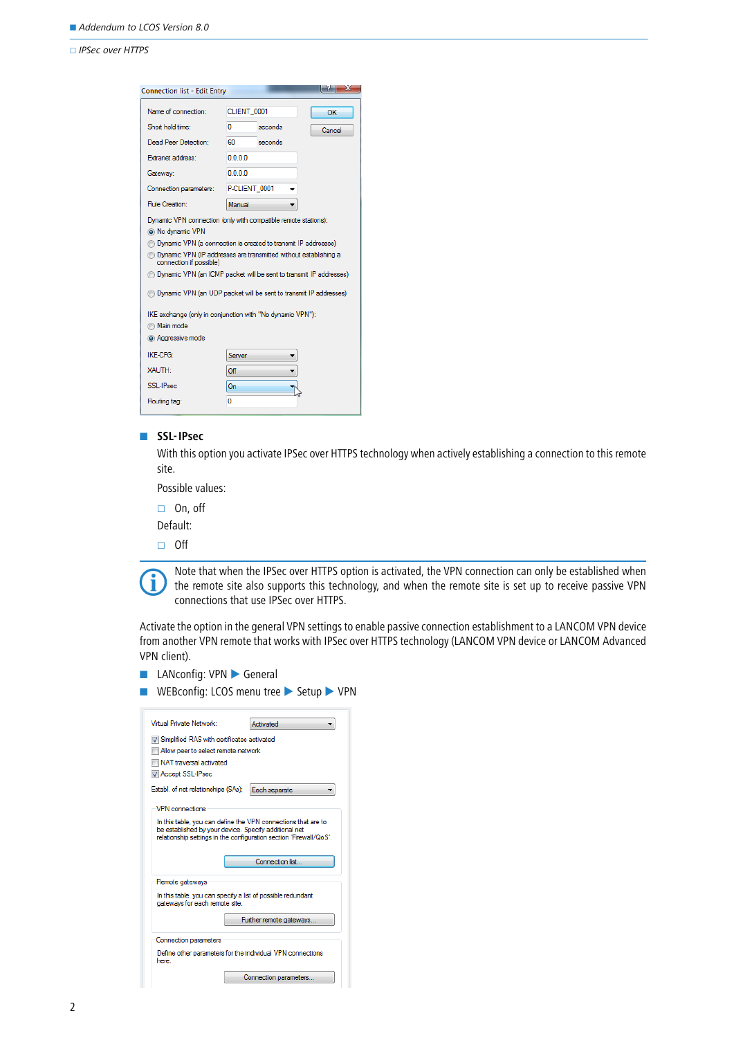#### IPSec over HTTPS

| <b>Connection list - Edit Entry</b>                                                                                                                                                                                                                                                                                                                                                                                                                                                                                                 |               |         | ж      |
|-------------------------------------------------------------------------------------------------------------------------------------------------------------------------------------------------------------------------------------------------------------------------------------------------------------------------------------------------------------------------------------------------------------------------------------------------------------------------------------------------------------------------------------|---------------|---------|--------|
| Name of connection:                                                                                                                                                                                                                                                                                                                                                                                                                                                                                                                 | CLIENT_0001   |         | OK     |
| Short hold time:                                                                                                                                                                                                                                                                                                                                                                                                                                                                                                                    | n             | seconds | Cancel |
| Dead Peer Detection:                                                                                                                                                                                                                                                                                                                                                                                                                                                                                                                | 60            | seconds |        |
| <b>Extranet address:</b>                                                                                                                                                                                                                                                                                                                                                                                                                                                                                                            | 0000          |         |        |
| Gateway:                                                                                                                                                                                                                                                                                                                                                                                                                                                                                                                            | 0.0.0.0       |         |        |
| Connection parameters:                                                                                                                                                                                                                                                                                                                                                                                                                                                                                                              | P-CLIENT 0001 |         |        |
| Rule Creation:                                                                                                                                                                                                                                                                                                                                                                                                                                                                                                                      | Manual        |         |        |
| Dynamic VPN connection (only with compatible remote stations):<br>is No dynamic VPN<br><b>In Dynamic VPN (a connection is created to transmit IP addresses)</b><br><b>By Dynamic VPN (IP addresses are transmitted without establishing a</b><br>connection if possible)<br>Dynamic VPN (an ICMP packet will be sent to transmit IP addresses)<br><b>In Dynamic VPN (an UDP packet will be sent to transmit IP addresses)</b><br>IKE exchange (only in conjunction with "No dynamic VPN"):<br><b>Main mode</b><br>a Aggressive mode |               |         |        |
| IKE-CEG-                                                                                                                                                                                                                                                                                                                                                                                                                                                                                                                            | Server        |         |        |
| <b>XAUTH</b>                                                                                                                                                                                                                                                                                                                                                                                                                                                                                                                        | Off           |         |        |
| SSI-IPsec                                                                                                                                                                                                                                                                                                                                                                                                                                                                                                                           | On            |         |        |
| Routing tag:                                                                                                                                                                                                                                                                                                                                                                                                                                                                                                                        | n             |         |        |

#### - **SSL-IPsec**

With this option you activate IPSec over HTTPS technology when actively establishing a connection to this remote site.

Possible values:

□ On, off

Default:

 $\Box$  Off



Note that when the IPSec over HTTPS option is activated, the VPN connection can only be established when the remote site also supports this technology, and when the remote site is set up to receive passive VPN connections that use IPSec over HTTPS.

Activate the option in the general VPN settings to enable passive connection establishment to a LANCOM VPN device from another VPN remote that works with IPSec over HTTPS technology (LANCOM VPN device or LANCOM Advanced VPN client).

- **LANconfig: VPN General**
- WEBconfig: LCOS menu tree ▶ Setup ▶ VPN

| Virtual Private Network:<br>Activated                                                                                                                                                        |  |  |  |  |  |  |  |
|----------------------------------------------------------------------------------------------------------------------------------------------------------------------------------------------|--|--|--|--|--|--|--|
| V Simplified RAS with certificates activated                                                                                                                                                 |  |  |  |  |  |  |  |
| Allow peer to select remote network                                                                                                                                                          |  |  |  |  |  |  |  |
| NAT traversal activated                                                                                                                                                                      |  |  |  |  |  |  |  |
| <b>D</b> Accept SSL-IPsec                                                                                                                                                                    |  |  |  |  |  |  |  |
| Establ. of net relationships (SAs):<br>Each separate                                                                                                                                         |  |  |  |  |  |  |  |
| <b>VPN</b> connections                                                                                                                                                                       |  |  |  |  |  |  |  |
| In this table, you can define the VPN connections that are to<br>be established by your device. Specify additional net<br>relationship settings in the configuration section 'Firewall/QoS'. |  |  |  |  |  |  |  |
| Connection list                                                                                                                                                                              |  |  |  |  |  |  |  |
| Remote gateways                                                                                                                                                                              |  |  |  |  |  |  |  |
| In this table, you can specify a list of possible redundant<br>gateways for each remote site.                                                                                                |  |  |  |  |  |  |  |
| Further remote gateways                                                                                                                                                                      |  |  |  |  |  |  |  |
| <b>Connection parameters</b>                                                                                                                                                                 |  |  |  |  |  |  |  |
| Define other parameters for the individual VPN connections<br>here                                                                                                                           |  |  |  |  |  |  |  |
| Connection parameters.                                                                                                                                                                       |  |  |  |  |  |  |  |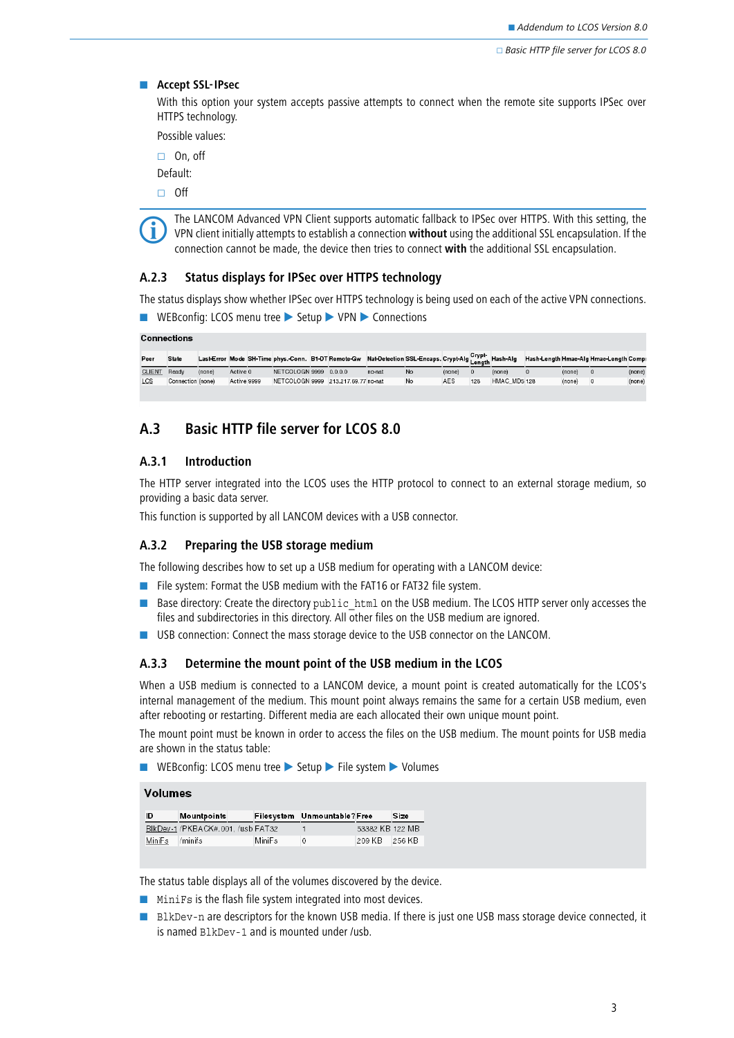#### **EXECUTE:** Accept SSL-IPsec

With this option your system accepts passive attempts to connect when the remote site supports IPSec over HTTPS technology.

Possible values:

□ On, off

Default:

 $\Box$  Off



 The LANCOM Advanced VPN Client supports automatic fallback to IPSec over HTTPS. With this setting, the VPN client initially attempts to establish a connection **without** using the additional SSL encapsulation. If the connection cannot be made, the device then tries to connect **with** the additional SSL encapsulation.

## **A.2.3 Status displays for IPSec over HTTPS technology**

The status displays show whether IPSec over HTTPS technology is being used on each of the active VPN connections.

```
■ WEBconfig: LCOS menu tree ▶ Setup ▶ VPN ▶ Connections
```

|               | <b>Connections</b> |        |             |  |                        |  |                                     |        |           |        |     |              |        |                                                                                                                                                |        |
|---------------|--------------------|--------|-------------|--|------------------------|--|-------------------------------------|--------|-----------|--------|-----|--------------|--------|------------------------------------------------------------------------------------------------------------------------------------------------|--------|
| Peer          | <b>State</b>       |        |             |  |                        |  |                                     |        |           |        |     |              |        | Last-Error Mode SH-Time phys.-Conn. B1-DT Remote-Gw Nat-Detection SSL-Encaps. Crypt-Alg Length Hash-Alg Hash-Length Hmac-Alg Hmac-Length Compi |        |
| <b>CLIENT</b> | Ready              | (none) | Active 0    |  | NETCOLOGN 9999 0.0.0.0 |  |                                     | no-nat | <b>No</b> | (none) |     | (none)       | (none) | $\Omega$                                                                                                                                       | (none) |
| LCS           | Connection (none)  |        | Active 9999 |  |                        |  | NETCOLOGN 9999 213.217.69.77 no-nat |        | No        | AES    | 128 | HMAC MD5 128 | (none) | $\Omega$                                                                                                                                       | (none) |
|               |                    |        |             |  |                        |  |                                     |        |           |        |     |              |        |                                                                                                                                                |        |

## <span id="page-2-0"></span>**A.3 Basic HTTP file server for LCOS 8.0**

## **A.3.1 Introduction**

The HTTP server integrated into the LCOS uses the HTTP protocol to connect to an external storage medium, so providing a basic data server.

This function is supported by all LANCOM devices with a USB connector.

## **A.3.2 Preparing the USB storage medium**

The following describes how to set up a USB medium for operating with a LANCOM device:

- File system: Format the USB medium with the FAT16 or FAT32 file system.
- Base directory: Create the directory public\_html on the USB medium. The LCOS HTTP server only accesses the files and subdirectories in this directory. All other files on the USB medium are ignored.
- -USB connection: Connect the mass storage device to the USB connector on the LANCOM.

#### **A.3.3 Determine the mount point of the USB medium in the LCOS**

When a USB medium is connected to a LANCOM device, a mount point is created automatically for the LCOS's internal management of the medium. This mount point always remains the same for a certain USB medium, even after rebooting or restarting. Different media are each allocated their own unique mount point.

The mount point must be known in order to access the files on the USB medium. The mount points for USB media are shown in the status table:

■ WEBconfig: LCOS menu tree ▶ Setup ▶ File system ▶ Volumes

**Volumes** 

| ID             | Mountpoints                       |        | Filesystem Unmountable?Free |                 | Size |
|----------------|-----------------------------------|--------|-----------------------------|-----------------|------|
|                | BlkDev-1 /PKBACK#.001. /usb FAT32 |        |                             | 53382 KB 122 MB |      |
| MiniFs /minifs |                                   | MiniFs | $\Omega$                    | 209 KB 256 KB   |      |

The status table displays all of the volumes discovered by the device.

- MiniFs is the flash file system integrated into most devices.
- **BLKDev-n are descriptors for the known USB media. If there is just one USB mass storage device connected, it** is named BlkDev-1 and is mounted under /usb.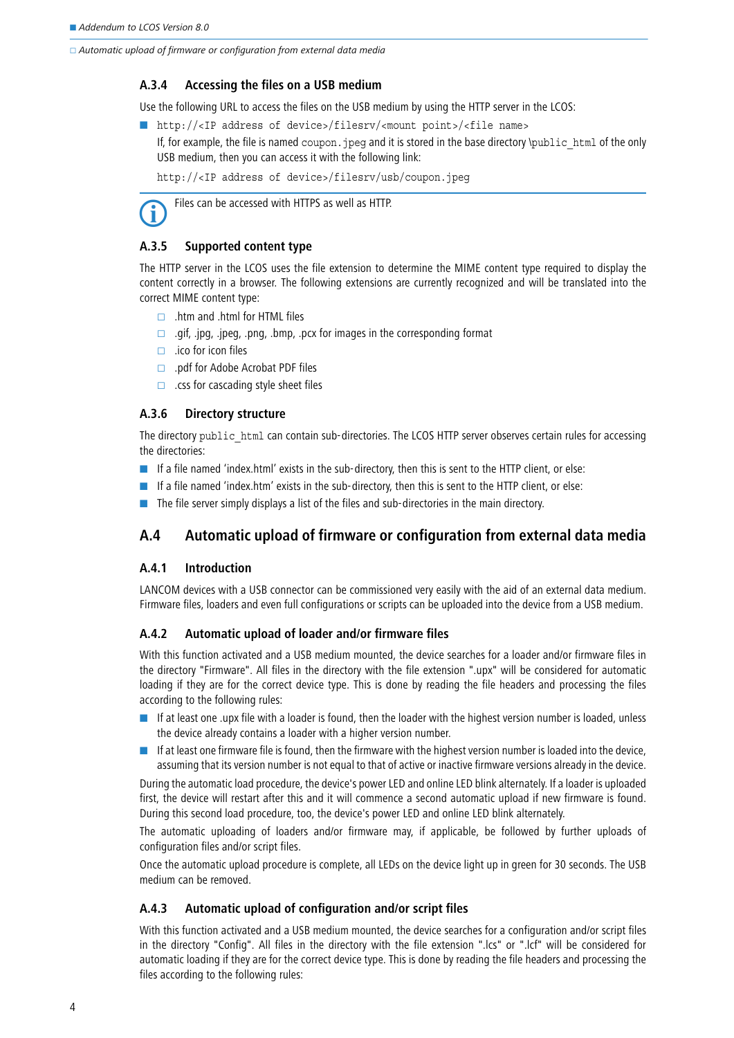□ Automatic upload of firmware or configuration from external data media

## **A.3.4 Accessing the files on a USB medium**

Use the following URL to access the files on the USB medium by using the HTTP server in the LCOS:

- http://<IP address of device>/filesrv/<mount point>/<file name>
	- If, for example, the file is named coupon.  $ipeq$  and it is stored in the base directory  $\phi$ ublic html of the only USB medium, then you can access it with the following link:

http://<IP address of device>/filesrv/usb/coupon.jpeg

Files can be accessed with HTTPS as well as HTTP.

## **A.3.5 Supported content type**

The HTTP server in the LCOS uses the file extension to determine the MIME content type required to display the content correctly in a browser. The following extensions are currently recognized and will be translated into the correct MIME content type:

- $\Box$  .htm and .html for HTML files
- $\Box$  .gif, .jpg, .jpeg, .png, .bmp, .pcx for images in the corresponding format
- $\Box$  . ico for icon files
- $\Box$  .pdf for Adobe Acrobat PDF files
- $\Box$  .css for cascading style sheet files

## **A.3.6 Directory structure**

The directory public html can contain sub-directories. The LCOS HTTP server observes certain rules for accessing the directories:

- **If** a file named 'index.html' exists in the sub-directory, then this is sent to the HTTP client, or else:
- **If** a file named 'index.htm' exists in the sub-directory, then this is sent to the HTTP client, or else:
- The file server simply displays a list of the files and sub-directories in the main directory.

## <span id="page-3-0"></span>**A.4 Automatic upload of firmware or configuration from external data media**

## **A.4.1 Introduction**

LANCOM devices with a USB connector can be commissioned very easily with the aid of an external data medium. Firmware files, loaders and even full configurations or scripts can be uploaded into the device from a USB medium.

## **A.4.2 Automatic upload of loader and/or firmware files**

With this function activated and a USB medium mounted, the device searches for a loader and/or firmware files in the directory "Firmware". All files in the directory with the file extension ".upx" will be considered for automatic loading if they are for the correct device type. This is done by reading the file headers and processing the files according to the following rules:

- - If at least one .upx file with a loader is found, then the loader with the highest version number is loaded, unless the device already contains a loader with a higher version number.
- If at least one firmware file is found, then the firmware with the highest version number is loaded into the device, assuming that its version number is not equal to that of active or inactive firmware versions already in the device.

During the automatic load procedure, the device's power LED and online LED blink alternately. If a loader is uploaded first, the device will restart after this and it will commence a second automatic upload if new firmware is found. During this second load procedure, too, the device's power LED and online LED blink alternately.

The automatic uploading of loaders and/or firmware may, if applicable, be followed by further uploads of configuration files and/or script files.

Once the automatic upload procedure is complete, all LEDs on the device light up in green for 30 seconds. The USB medium can be removed.

## **A.4.3 Automatic upload of configuration and/or script files**

With this function activated and a USB medium mounted, the device searches for a configuration and/or script files in the directory "Config". All files in the directory with the file extension ".lcs" or ".lcf" will be considered for automatic loading if they are for the correct device type. This is done by reading the file headers and processing the files according to the following rules: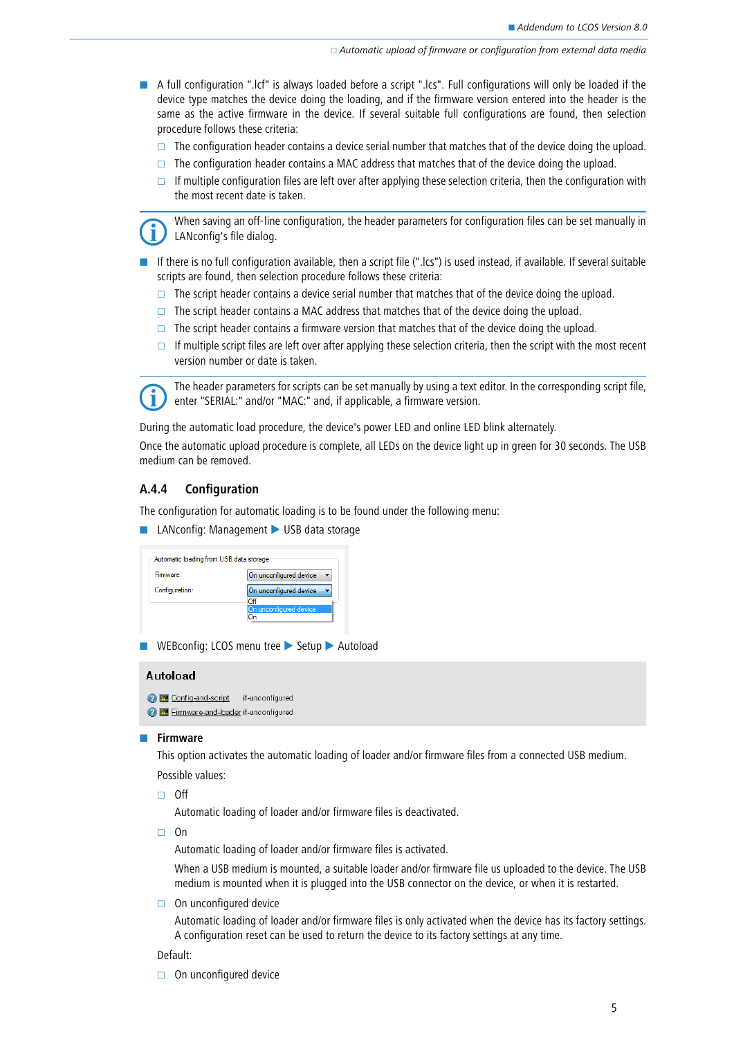Automatic upload of firmware or configuration from external data media

- A full configuration ".lcf" is always loaded before a script ".lcs". Full configurations will only be loaded if the device type matches the device doing the loading, and if the firmware version entered into the header is the same as the active firmware in the device. If several suitable full configurations are found, then selection procedure follows these criteria:
	- $\Box$  The configuration header contains a device serial number that matches that of the device doing the upload.
	- $\Box$  The configuration header contains a MAC address that matches that of the device doing the upload.
	- If multiple configuration files are left over after applying these selection criteria, then the configuration with the most recent date is taken.

 When saving an off-line configuration, the header parameters for configuration files can be set manually in LANconfig's file dialog.

- If there is no full configuration available, then a script file (".lcs") is used instead, if available. If several suitable scripts are found, then selection procedure follows these criteria:
	- $\Box$  The script header contains a device serial number that matches that of the device doing the upload.
	- $\Box$  The script header contains a MAC address that matches that of the device doing the upload.
	- $\Box$  The script header contains a firmware version that matches that of the device doing the upload.
	- If multiple script files are left over after applying these selection criteria, then the script with the most recent version number or date is taken.



The header parameters for scripts can be set manually by using a text editor. In the corresponding script file,<br>
enter "SERIAL:" and/or "MAC:" and. if applicable. a firmware version. enter "SERIAL:" and/or "MAC:" and, if applicable, a firmware version.

During the automatic load procedure, the device's power LED and online LED blink alternately.

Once the automatic upload procedure is complete, all LEDs on the device light up in green for 30 seconds. The USB medium can be removed.

## **A.4.4 Configuration**

The configuration for automatic loading is to be found under the following menu:

■ LANconfig: Management ▶ USB data storage

| Automatic loading from USB data storage |                               |
|-----------------------------------------|-------------------------------|
| Firmware:                               | On unconfigured device        |
| Configuration:                          | On unconfigured device        |
|                                         | Off<br>On unconfigured device |
|                                         |                               |

■ WEBconfig: LCOS menu tree ▶ Setup ▶ Autoload

### Autoload

Config-and-script if-unconfigured Firmware-and-loader if-unconfigured

#### $\blacksquare$  Firmware

This option activates the automatic loading of loader and/or firmware files from a connected USB medium. Possible values:

 $\Box$  Off

Automatic loading of loader and/or firmware files is deactivated.

□ On

Automatic loading of loader and/or firmware files is activated.

When a USB medium is mounted, a suitable loader and/or firmware file us uploaded to the device. The USB medium is mounted when it is plugged into the USB connector on the device, or when it is restarted.

 $\Box$  On unconfigured device

Automatic loading of loader and/or firmware files is only activated when the device has its factory settings. A configuration reset can be used to return the device to its factory settings at any time.

#### Default:

 $\Box$  On unconfigured device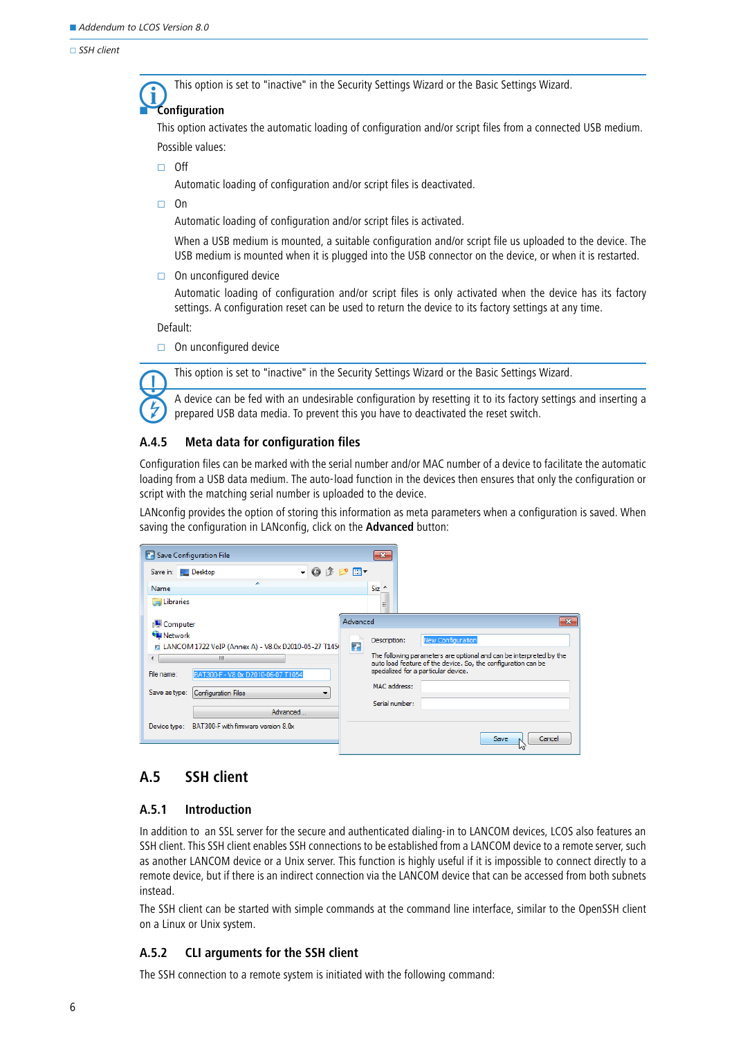-

#### $\Box$  SSH client

This option is set to "inactive" in the Security Settings Wizard or the Basic Settings Wizard.

## **Configuration**

This option activates the automatic loading of configuration and/or script files from a connected USB medium. Possible values:

 $\Box$  Off

Automatic loading of configuration and/or script files is deactivated.

 $\Box$  On

Automatic loading of configuration and/or script files is activated.

When a USB medium is mounted, a suitable configuration and/or script file us uploaded to the device. The USB medium is mounted when it is plugged into the USB connector on the device, or when it is restarted.

 $\Box$  On unconfigured device

Automatic loading of configuration and/or script files is only activated when the device has its factory settings. A configuration reset can be used to return the device to its factory settings at any time.

Default:

 $\Box$  On unconfigured device

This option is set to "inactive" in the Security Settings Wizard or the Basic Settings Wizard.



 A device can be fed with an undesirable configuration by resetting it to its factory settings and inserting a prepared USB data media. To prevent this you have to deactivated the reset switch.

## **A.4.5 Meta data for configuration files**

Configuration files can be marked with the serial number and/or MAC number of a device to facilitate the automatic loading from a USB data medium. The auto-load function in the devices then ensures that only the configuration or script with the matching serial number is uploaded to the device.

LANconfig provides the option of storing this information as meta parameters when a configuration is saved. When saving the configuration in LANconfig, click on the **Advanced** button:

| <b>Save Configuration File</b>                                              | $-23$                                                                                                                                |
|-----------------------------------------------------------------------------|--------------------------------------------------------------------------------------------------------------------------------------|
| $  0$ $0$ $ -$<br>Save in: U Desktop                                        |                                                                                                                                      |
| Name                                                                        | $Size -$                                                                                                                             |
| <b>Libraries</b>                                                            | Ξ                                                                                                                                    |
| Computer                                                                    | $\mathbf{x}$<br>Advanced                                                                                                             |
| <b>C</b> u Network<br>E LANCOM 1722 VoIP (Annex A) - V8.0x D2010-05-27 T145 | <b>New Configuration</b><br>Description:<br>Ŧ                                                                                        |
| Ш                                                                           | The following parameters are optional and can be interpreted by the<br>auto load feature of the device. So, the configuration can be |
| File name:<br>BAT300-F - V8.0x D2010-06-07 T1054                            | specialized for a particular device.                                                                                                 |
| Save as type:<br><b>Configuration Files</b>                                 | MAC address:                                                                                                                         |
| Advanced                                                                    | Serial number:                                                                                                                       |
| BAT300-F with firmware version 8.0x<br>Device type:                         |                                                                                                                                      |
|                                                                             | Cancel<br>Save<br>M                                                                                                                  |

## <span id="page-5-0"></span>**A.5 SSH client**

## **A.5.1 Introduction**

In addition to an SSL server for the secure and authenticated dialing-in to LANCOM devices, LCOS also features an SSH client. This SSH client enables SSH connections to be established from a LANCOM device to a remote server, such as another LANCOM device or a Unix server. This function is highly useful if it is impossible to connect directly to a remote device, but if there is an indirect connection via the LANCOM device that can be accessed from both subnets instead.

The SSH client can be started with simple commands at the command line interface, similar to the OpenSSH client on a Linux or Unix system.

## **A.5.2 CLI arguments for the SSH client**

The SSH connection to a remote system is initiated with the following command: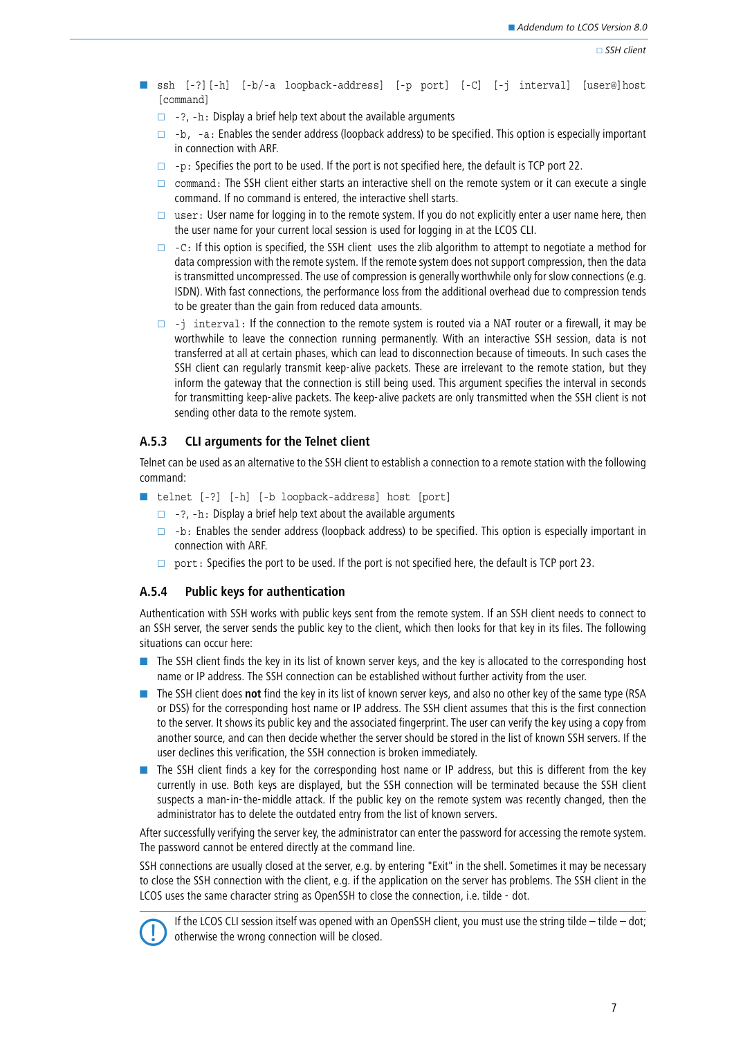- ssh [-?][-h] [-b/-a loopback-address] [-p port] [-C] [-j interval] [user@]host [command]
	- $\Box$  -?, -h: Display a brief help text about the available arguments
	- $\Box$  -b, -a: Enables the sender address (loopback address) to be specified. This option is especially important in connection with ARF.
	- $\Box$  -p: Specifies the port to be used. If the port is not specified here, the default is TCP port 22.
	- $\Box$  command: The SSH client either starts an interactive shell on the remote system or it can execute a single command. If no command is entered, the interactive shell starts.
	- user: User name for logging in to the remote system. If you do not explicitly enter a user name here, then the user name for your current local session is used for logging in at the LCOS CLI.
	- $\Box$  -C: If this option is specified, the SSH client uses the zlib algorithm to attempt to negotiate a method for data compression with the remote system. If the remote system does not support compression, then the data is transmitted uncompressed. The use of compression is generally worthwhile only for slow connections (e.g. ISDN). With fast connections, the performance loss from the additional overhead due to compression tends to be greater than the gain from reduced data amounts.
	- $\Box$  -j interval: If the connection to the remote system is routed via a NAT router or a firewall, it may be worthwhile to leave the connection running permanently. With an interactive SSH session, data is not transferred at all at certain phases, which can lead to disconnection because of timeouts. In such cases the SSH client can regularly transmit keep-alive packets. These are irrelevant to the remote station, but they inform the gateway that the connection is still being used. This argument specifies the interval in seconds for transmitting keep-alive packets. The keep-alive packets are only transmitted when the SSH client is not sending other data to the remote system.

## **A.5.3 CLI arguments for the Telnet client**

Telnet can be used as an alternative to the SSH client to establish a connection to a remote station with the following command:

- telnet [-?] [-h] [-b loopback-address] host [port]
	- $\Box$  -?, -h: Display a brief help text about the available arguments
	- $\Box$  -b: Enables the sender address (loopback address) to be specified. This option is especially important in connection with ARF.
	- $\Box$  port: Specifies the port to be used. If the port is not specified here, the default is TCP port 23.

## **A.5.4 Public keys for authentication**

Authentication with SSH works with public keys sent from the remote system. If an SSH client needs to connect to an SSH server, the server sends the public key to the client, which then looks for that key in its files. The following situations can occur here:

- - The SSH client finds the key in its list of known server keys, and the key is allocated to the corresponding host name or IP address. The SSH connection can be established without further activity from the user.
- **The SSH client does not find the key in its list of known server keys, and also no other key of the same type (RSA** or DSS) for the corresponding host name or IP address. The SSH client assumes that this is the first connection to the server. It shows its public key and the associated fingerprint. The user can verify the key using a copy from another source, and can then decide whether the server should be stored in the list of known SSH servers. If the user declines this verification, the SSH connection is broken immediately.
- The SSH client finds a key for the corresponding host name or IP address, but this is different from the key currently in use. Both keys are displayed, but the SSH connection will be terminated because the SSH client suspects a man-in-the-middle attack. If the public key on the remote system was recently changed, then the administrator has to delete the outdated entry from the list of known servers.

After successfully verifying the server key, the administrator can enter the password for accessing the remote system. The password cannot be entered directly at the command line.

SSH connections are usually closed at the server, e.g. by entering "Exit" in the shell. Sometimes it may be necessary to close the SSH connection with the client, e.g. if the application on the server has problems. The SSH client in the LCOS uses the same character string as OpenSSH to close the connection, i.e. tilde - dot.



 If the LCOS CLI session itself was opened with an OpenSSH client, you must use the string tilde – tilde – dot; otherwise the wrong connection will be closed.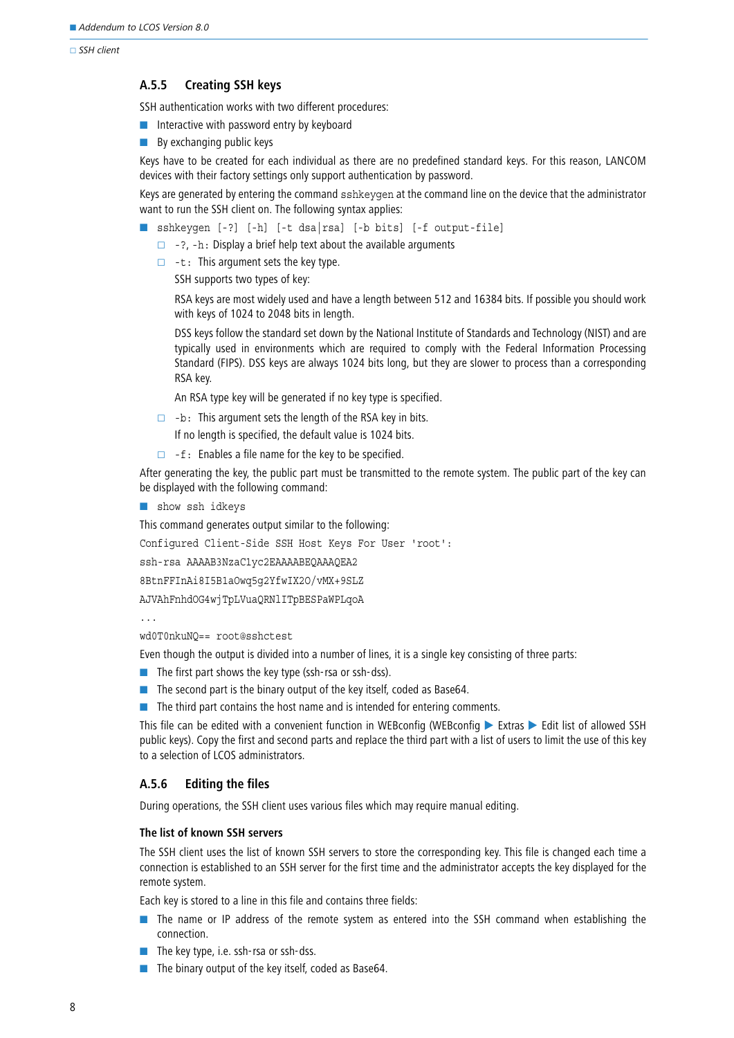$\Box$  SSH client

### **A.5.5 Creating SSH keys**

SSH authentication works with two different procedures:

- **n** Interactive with password entry by keyboard
- **By exchanging public keys**

Keys have to be created for each individual as there are no predefined standard keys. For this reason, LANCOM devices with their factory settings only support authentication by password.

Keys are generated by entering the command sshkeygen at the command line on the device that the administrator want to run the SSH client on. The following syntax applies:

- sshkeygen [-?] [-h] [-t dsa|rsa] [-b bits] [-f output-file]
	- $\Box$  -?, -h: Display a brief help text about the available arguments
	- $\Box$  -t: This argument sets the key type.

SSH supports two types of key:

RSA keys are most widely used and have a length between 512 and 16384 bits. If possible you should work with keys of 1024 to 2048 bits in length.

DSS keys follow the standard set down by the National Institute of Standards and Technology (NIST) and are typically used in environments which are required to comply with the Federal Information Processing Standard (FIPS). DSS keys are always 1024 bits long, but they are slower to process than a corresponding RSA key.

An RSA type key will be generated if no key type is specified.

- $\Box$  -b: This argument sets the length of the RSA key in bits.
	- If no length is specified, the default value is 1024 bits.
- $\Box$  -f: Enables a file name for the key to be specified.

After generating the key, the public part must be transmitted to the remote system. The public part of the key can be displayed with the following command:

**B** show ssh idkeys

This command generates output similar to the following:

Configured Client-Side SSH Host Keys For User 'root':

ssh-rsa AAAAB3NzaC1yc2EAAAABEQAAAQEA2

8BtnFFInAi8I5B1aOwq5g2YfwIX2O/vMX+9SLZ

AJVAhFnhdOG4wjTpLVuaQRNlITpBESPaWPLqoA

...

wd0T0nkuNQ== root@sshctest

Even though the output is divided into a number of lines, it is a single key consisting of three parts:

- The first part shows the key type (ssh-rsa or ssh-dss).
- $\blacksquare$  The second part is the binary output of the key itself, coded as Base64.
- **The third part contains the host name and is intended for entering comments.**

This file can be edited with a convenient function in WEBconfig (WEBconfig  $\triangleright$  Extras  $\triangleright$  Edit list of allowed SSH public keys). Copy the first and second parts and replace the third part with a list of users to limit the use of this key to a selection of LCOS administrators.

## **A.5.6 Editing the files**

During operations, the SSH client uses various files which may require manual editing.

## **The list of known SSH servers**

The SSH client uses the list of known SSH servers to store the corresponding key. This file is changed each time a connection is established to an SSH server for the first time and the administrator accepts the key displayed for the remote system.

Each key is stored to a line in this file and contains three fields:

- **The name or IP address of the remote system as entered into the SSH command when establishing the** connection.
- The key type, i.e. ssh-rsa or ssh-dss.
- -The binary output of the key itself, coded as Base64.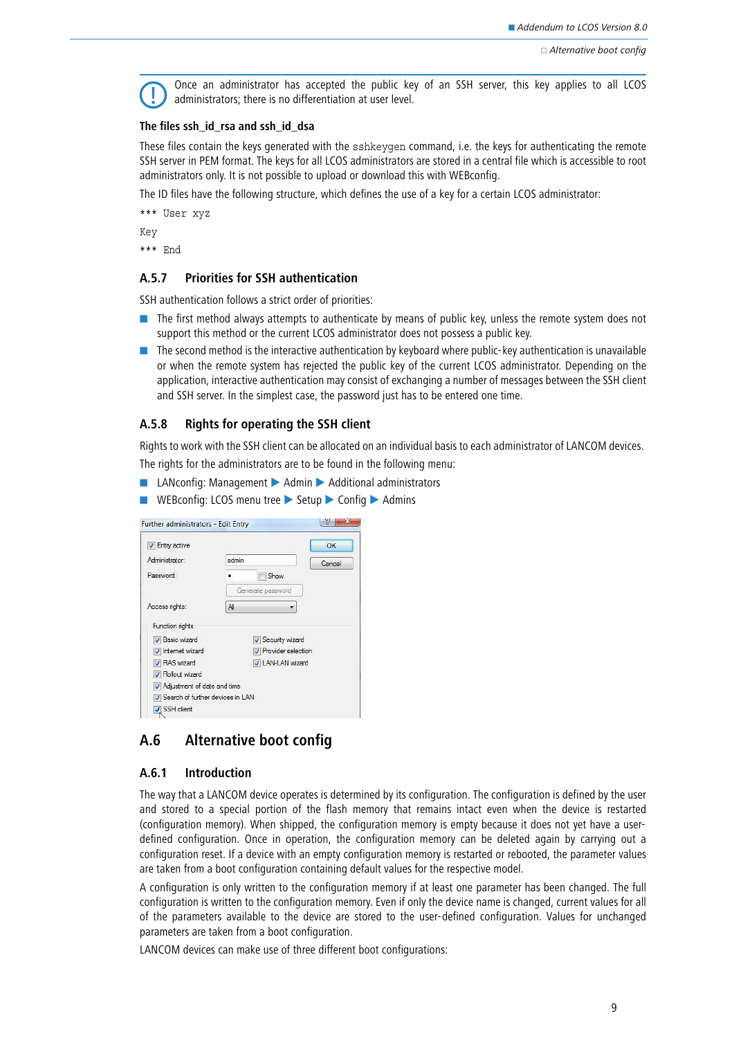

 Once an administrator has accepted the public key of an SSH server, this key applies to all LCOS administrators; there is no differentiation at user level.

#### **The files ssh\_id\_rsa and ssh\_id\_dsa**

These files contain the keys generated with the sshkeygen command, i.e. the keys for authenticating the remote SSH server in PEM format. The keys for all LCOS administrators are stored in a central file which is accessible to root administrators only. It is not possible to upload or download this with WEBconfig.

The ID files have the following structure, which defines the use of a key for a certain LCOS administrator:

\*\*\* User xyz

Key

\*\*\* End

## **A.5.7 Priorities for SSH authentication**

SSH authentication follows a strict order of priorities:

- **The first method always attempts to authenticate by means of public key, unless the remote system does not** support this method or the current LCOS administrator does not possess a public key.
- **The second method is the interactive authentication by keyboard where public-key authentication is unavailable** or when the remote system has rejected the public key of the current LCOS administrator. Depending on the application, interactive authentication may consist of exchanging a number of messages between the SSH client and SSH server. In the simplest case, the password just has to be entered one time.

## **A.5.8 Rights for operating the SSH client**

Rights to work with the SSH client can be allocated on an individual basis to each administrator of LANCOM devices.

The rights for the administrators are to be found in the following menu:

- LANconfig: Management ▶ Admin ▶ Additional administrators
- WEBconfig: LCOS menu tree ▶ Setup ▶ Config ▶ Admins

| <b>V</b> Entry active                           |                             | OK     |
|-------------------------------------------------|-----------------------------|--------|
| Administrator:                                  | admin                       | Cancel |
| Password:                                       | Show                        |        |
|                                                 | Generate password           |        |
| Access rights:                                  | All                         |        |
| <b>Function rights</b><br><b>V</b> Basic wizard | V Security wizard           |        |
| V Internet wizard                               | <b>V</b> Provider selection |        |
| <b>V</b> RAS wizard                             | V LAN-LAN wizard            |        |
| <b>V</b> Rollout wizard                         |                             |        |
| Adjustment of date and time                     |                             |        |
| V Search of further devices in LAN              |                             |        |
| V SSH client                                    |                             |        |

## <span id="page-8-0"></span>**A.6 Alternative boot config**

## **A.6.1 Introduction**

The way that a LANCOM device operates is determined by its configuration. The configuration is defined by the user and stored to a special portion of the flash memory that remains intact even when the device is restarted (configuration memory). When shipped, the configuration memory is empty because it does not yet have a userdefined configuration. Once in operation, the configuration memory can be deleted again by carrying out a configuration reset. If a device with an empty configuration memory is restarted or rebooted, the parameter values are taken from a boot configuration containing default values for the respective model.

A configuration is only written to the configuration memory if at least one parameter has been changed. The full configuration is written to the configuration memory. Even if only the device name is changed, current values for all of the parameters available to the device are stored to the user-defined configuration. Values for unchanged parameters are taken from a boot configuration.

LANCOM devices can make use of three different boot configurations: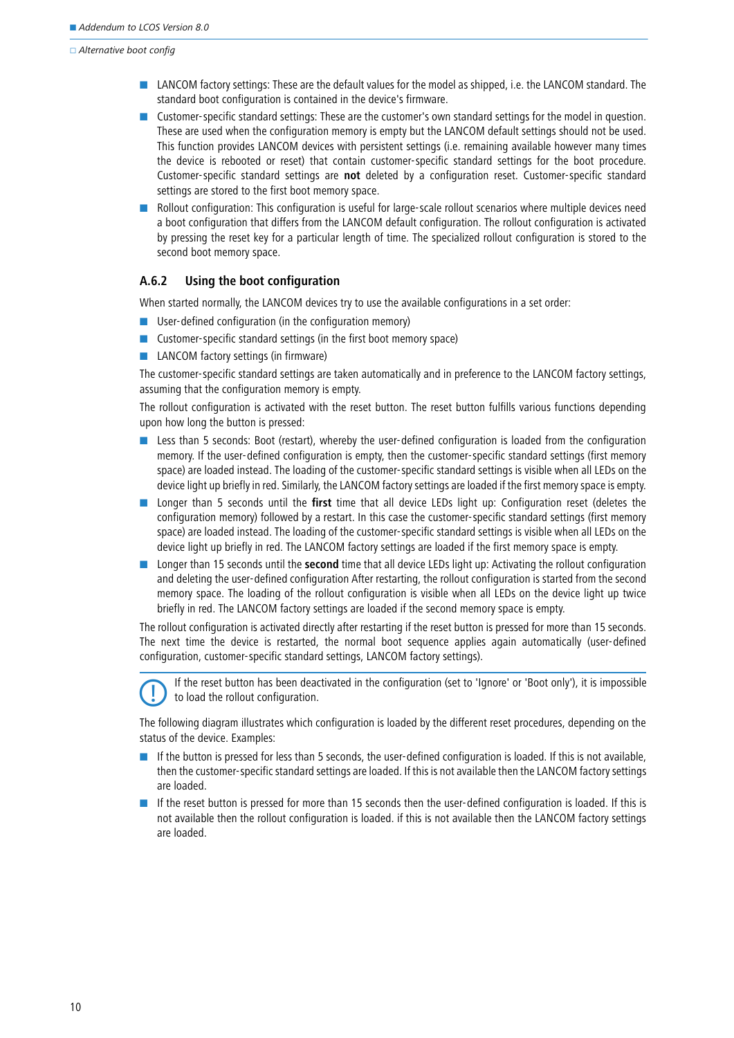$\Box$  Alternative boot config

- **LANCOM** factory settings: These are the default values for the model as shipped, i.e. the LANCOM standard. The standard boot configuration is contained in the device's firmware.
- **Dum** Customer-specific standard settings: These are the customer's own standard settings for the model in question. These are used when the configuration memory is empty but the LANCOM default settings should not be used. This function provides LANCOM devices with persistent settings (i.e. remaining available however many times the device is rebooted or reset) that contain customer-specific standard settings for the boot procedure. Customer-specific standard settings are **not** deleted by a configuration reset. Customer-specific standard settings are stored to the first boot memory space.
- - Rollout configuration: This configuration is useful for large-scale rollout scenarios where multiple devices need a boot configuration that differs from the LANCOM default configuration. The rollout configuration is activated by pressing the reset key for a particular length of time. The specialized rollout configuration is stored to the second boot memory space.

## **A.6.2 Using the boot configuration**

When started normally, the LANCOM devices try to use the available configurations in a set order:

- **E** User-defined configuration (in the configuration memory)
- Customer-specific standard settings (in the first boot memory space)
- **LANCOM** factory settings (in firmware)

The customer-specific standard settings are taken automatically and in preference to the LANCOM factory settings, assuming that the configuration memory is empty.

The rollout configuration is activated with the reset button. The reset button fulfills various functions depending upon how long the button is pressed:

- **Less than 5 seconds: Boot (restart), whereby the user-defined configuration is loaded from the configuration** memory. If the user-defined configuration is empty, then the customer-specific standard settings (first memory space) are loaded instead. The loading of the customer-specific standard settings is visible when all LEDs on the device light up briefly in red. Similarly, the LANCOM factory settings are loaded if the first memory space is empty.
- **In** Longer than 5 seconds until the **first** time that all device LEDs light up: Configuration reset (deletes the configuration memory) followed by a restart. In this case the customer-specific standard settings (first memory space) are loaded instead. The loading of the customer-specific standard settings is visible when all LEDs on the device light up briefly in red. The LANCOM factory settings are loaded if the first memory space is empty.
- **Longer than 15 seconds until the second time that all device LEDs light up: Activating the rollout configuration** and deleting the user-defined configuration After restarting, the rollout configuration is started from the second memory space. The loading of the rollout configuration is visible when all LEDs on the device light up twice briefly in red. The LANCOM factory settings are loaded if the second memory space is empty.

The rollout configuration is activated directly after restarting if the reset button is pressed for more than 15 seconds. The next time the device is restarted, the normal boot sequence applies again automatically (user-defined configuration, customer-specific standard settings, LANCOM factory settings).

 If the reset button has been deactivated in the configuration (set to 'Ignore' or 'Boot only'), it is impossible to load the rollout configuration.

The following diagram illustrates which configuration is loaded by the different reset procedures, depending on the status of the device. Examples:

- If the button is pressed for less than 5 seconds, the user-defined configuration is loaded. If this is not available, then the customer-specific standard settings are loaded. If this is not available then the LANCOM factory settings are loaded.
- - If the reset button is pressed for more than 15 seconds then the user-defined configuration is loaded. If this is not available then the rollout configuration is loaded. if this is not available then the LANCOM factory settings are loaded.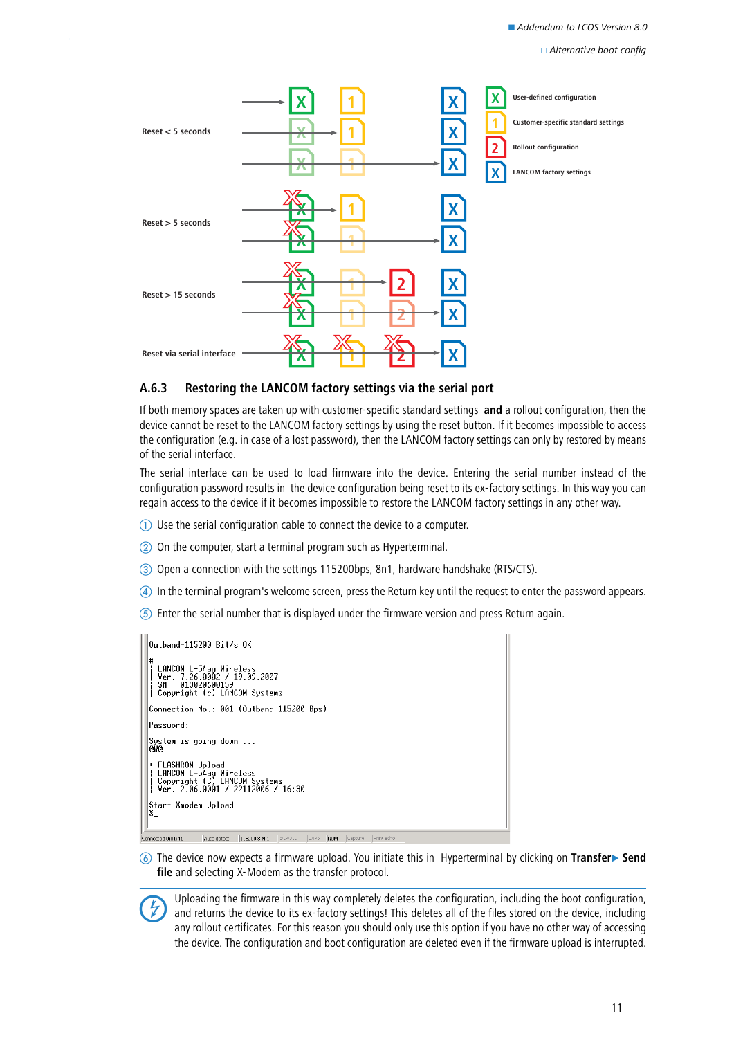□ Alternative boot config



## <span id="page-10-0"></span>**A.6.3 Restoring the LANCOM factory settings via the serial port**

If both memory spaces are taken up with customer-specific standard settings **and** a rollout configuration, then the device cannot be reset to the LANCOM factory settings by using the reset button. If it becomes impossible to access the configuration (e.g. in case of a lost password), then the LANCOM factory settings can only by restored by means of the serial interface.

The serial interface can be used to load firmware into the device. Entering the serial number instead of the configuration password results in the device configuration being reset to its ex-factory settings. In this way you can regain access to the device if it becomes impossible to restore the LANCOM factory settings in any other way.

- **1** Use the serial configuration cable to connect the device to a computer.
- On the computer, start a terminal program such as Hyperterminal.
- Open a connection with the settings 115200bps, 8n1, hardware handshake (RTS/CTS).
- In the terminal program's welcome screen, press the Return key until the request to enter the password appears.
- Enter the serial number that is displayed under the firmware version and press Return again.

| Outband-115200 Bit/s OK                                                                                                                              |  |
|------------------------------------------------------------------------------------------------------------------------------------------------------|--|
| LANCOM L-54ag Wireless<br>Ver. 7.26.0002 / 19.09.2007<br>013020600159<br>SN.<br>Copyright (c) LANCOM Systems                                         |  |
| Connection No : 001 (Outband-115200 Bps)                                                                                                             |  |
| Password:                                                                                                                                            |  |
| System is going down<br>ewe                                                                                                                          |  |
| ▪ FLASHROM-Upload<br>LANCOM L-54ag Wireless<br>Copyright (C) LANCOM Systems<br>Ver. $2.06.0001 / 22112006 / 16:30$<br>Start Xmodem Upload<br>$S_{-}$ |  |
| SCROLL<br>CAPS<br>Capture<br>Print echo<br>Connected 0:01:41<br>Auto detect<br>115200 8-N-1<br><b>NUM</b>                                            |  |
|                                                                                                                                                      |  |

**(6)** The device now expects a firmware upload. You initiate this in Hyperterminal by clicking on Transfer▶ Send **file** and selecting X-Modem as the transfer protocol.



 Uploading the firmware in this way completely deletes the configuration, including the boot configuration, and returns the device to its ex-factory settings! This deletes all of the files stored on the device, including any rollout certificates. For this reason you should only use this option if you have no other way of accessing the device. The configuration and boot configuration are deleted even if the firmware upload is interrupted.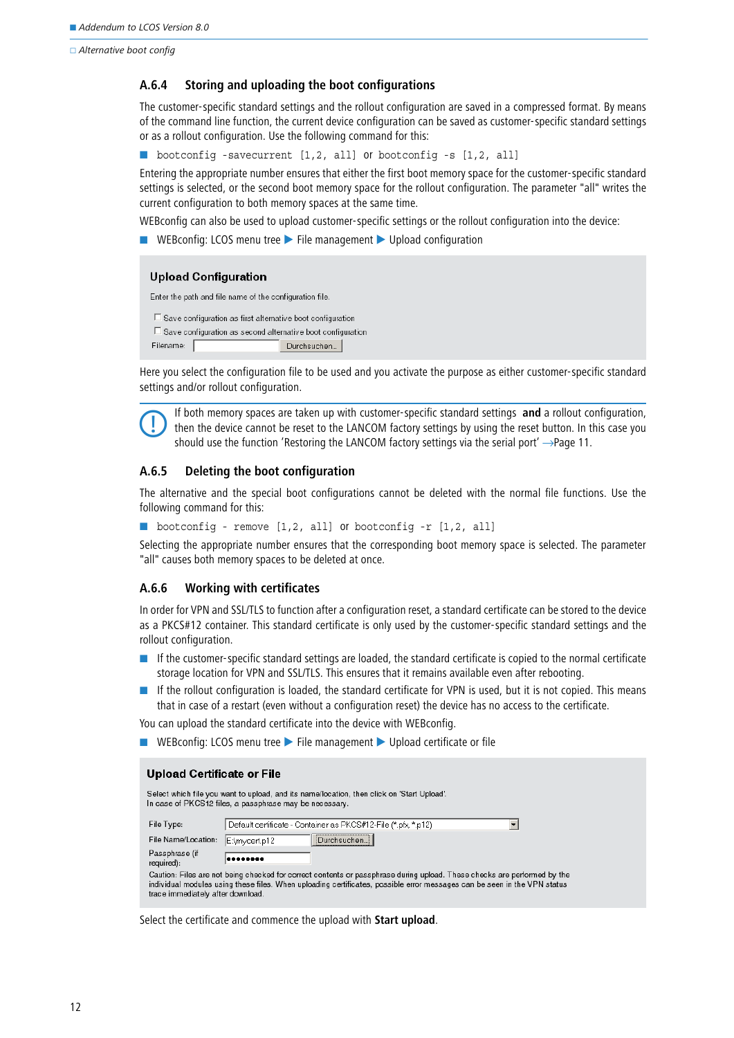$\Box$  Alternative boot config

### **A.6.4 Storing and uploading the boot configurations**

The customer-specific standard settings and the rollout configuration are saved in a compressed format. By means of the command line function, the current device configuration can be saved as customer-specific standard settings or as a rollout configuration. Use the following command for this:

■ bootconfig -savecurrent [1,2, all] or bootconfig -s [1,2, all]

Entering the appropriate number ensures that either the first boot memory space for the customer-specific standard settings is selected, or the second boot memory space for the rollout configuration. The parameter "all" writes the current configuration to both memory spaces at the same time.

WEBconfig can also be used to upload customer-specific settings or the rollout configuration into the device:

■ WEBconfig: LCOS menu tree ▶ File management ▶ Upload configuration

#### **Upload Configuration**

Enter the path and file name of the configuration file.

```
\Box Save configuration as first alternative boot configuration
\Box Save configuration as second alternative boot configuration
Filename: [
                                      Durchsuchen...
```
Here you select the configuration file to be used and you activate the purpose as either customer-specific standard settings and/or rollout configuration.



 If both memory spaces are taken up with customer-specific standard settings **and** a rollout configuration, then the device cannot be reset to the LANCOM factory settings by using the reset button. In this case you should use the function ['Restoring the LANCOM factory settings via the serial port'](#page-10-0) → Page 11.

## **A.6.5 Deleting the boot configuration**

The alternative and the special boot configurations cannot be deleted with the normal file functions. Use the following command for this:

```
■ bootconfig - remove [1,2, all] or bootconfig -r [1,2, all]
```
Selecting the appropriate number ensures that the corresponding boot memory space is selected. The parameter "all" causes both memory spaces to be deleted at once.

## **A.6.6 Working with certificates**

In order for VPN and SSL/TLS to function after a configuration reset, a standard certificate can be stored to the device as a PKCS#12 container. This standard certificate is only used by the customer-specific standard settings and the rollout configuration.

- **If the customer-specific standard settings are loaded, the standard certificate is copied to the normal certificate** storage location for VPN and SSL/TLS. This ensures that it remains available even after rebooting.
- - If the rollout configuration is loaded, the standard certificate for VPN is used, but it is not copied. This means that in case of a restart (even without a configuration reset) the device has no access to the certificate.

You can upload the standard certificate into the device with WEBconfig.

■ WEBconfig: LCOS menu tree ▶ File management ▶ Upload certificate or file

#### **Upload Certificate or File**

Select which file you want to upload, and its name/location, then click on 'Start Upload'. In case of PKCS12 files, a passphrase may be necessary. Default certificate - Container as PKCS#12-File (\*.pfx, \*.p12) File Type:  $\overline{\phantom{a}}$ Durchsuchen. File Name/Location: E:\mycert.p12 Passphrase (if -------required): Caution: Files are not being checked for correct contents or passphrase during upload. These checks are performed by the individual modules using these files. When uploading certificates, possible error messages can be seen in the VPN status trace immediately after download.

Select the certificate and commence the upload with **Start upload**.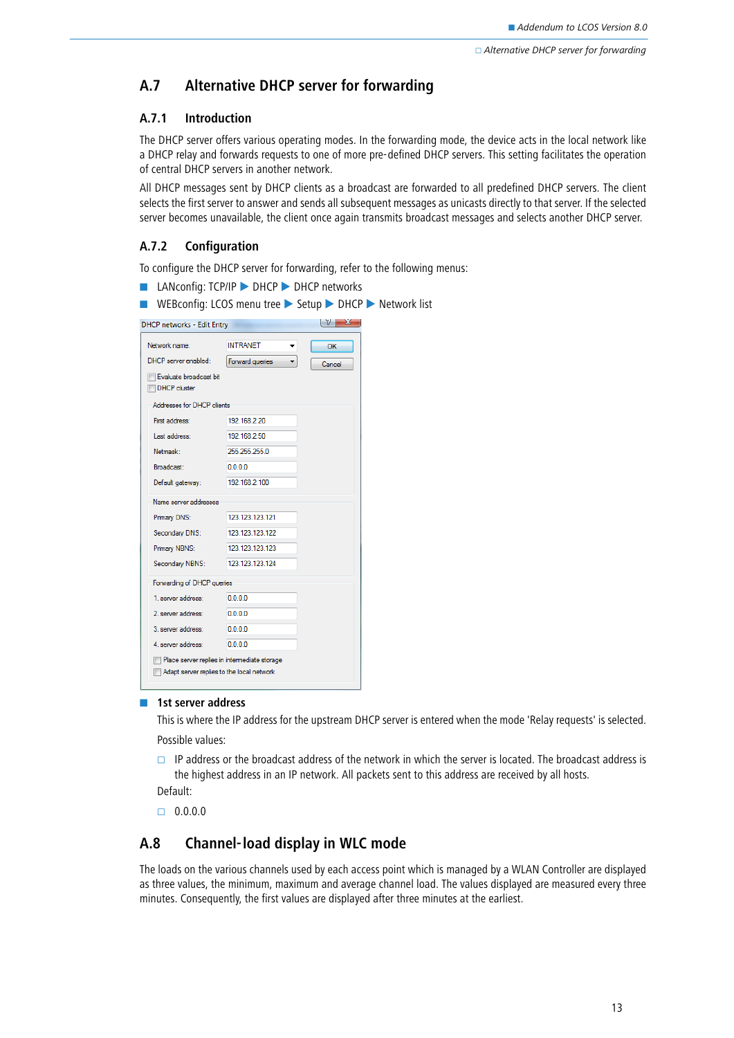## <span id="page-12-0"></span>**A.7 Alternative DHCP server for forwarding**

## **A.7.1 Introduction**

The DHCP server offers various operating modes. In the forwarding mode, the device acts in the local network like a DHCP relay and forwards requests to one of more pre-defined DHCP servers. This setting facilitates the operation of central DHCP servers in another network.

All DHCP messages sent by DHCP clients as a broadcast are forwarded to all predefined DHCP servers. The client selects the first server to answer and sends all subsequent messages as unicasts directly to that server. If the selected server becomes unavailable, the client once again transmits broadcast messages and selects another DHCP server.

## **A.7.2 Configuration**

To configure the DHCP server for forwarding, refer to the following menus:

- LANconfig: TCP/IP ▶ DHCP ▶ DHCP networks
- WEBconfig: LCOS menu tree ▶ Setup ▶ DHCP ▶ Network list

| <b>DHCP networks - Edit Entry</b>             |                                              | $\mathbb{R}$ $\mathbb{R}$ |
|-----------------------------------------------|----------------------------------------------|---------------------------|
| Network name:                                 | <b>INTRANET</b>                              | OK                        |
| DHCP server enabled:                          | Forward queries                              | Cancel                    |
| Evaluate broadcast bit<br><b>DHCP</b> cluster |                                              |                           |
| Addresses for DHCP clients                    |                                              |                           |
| First address:                                | 192.168.2.20                                 |                           |
| Last address:                                 | 192.168.2.50                                 |                           |
| Netmask:                                      | 255 255 255.0                                |                           |
| Broadcast:                                    | 0.0.0.0                                      |                           |
| Default gateway:                              | 192.168.2.100                                |                           |
| Name server addresses                         |                                              |                           |
| Primary DNS:                                  | 123.123.123.121                              |                           |
| Secondary DNS:                                | 123.123.123.122                              |                           |
| Primary NBNS:                                 | 123 123 123 123                              |                           |
| Secondary NBNS:                               | 123.123.123.124                              |                           |
| Forwarding of DHCP queries                    |                                              |                           |
| 1. server address:                            | 0.0.0.0                                      |                           |
| 2. server address:                            | 0000                                         |                           |
| 3 server address:                             | 0.0.0.0                                      |                           |
| 4. server address:                            | 0.0.0.0                                      |                           |
| Adapt server replies to the local network     | Place server replies in intermediate storage |                           |

#### **1st server address**

This is where the IP address for the upstream DHCP server is entered when the mode 'Relay requests' is selected. Possible values:

 $\Box$  IP address or the broadcast address of the network in which the server is located. The broadcast address is the highest address in an IP network. All packets sent to this address are received by all hosts.

Default:

 $\Box$  0.0.0.0

## <span id="page-12-1"></span>**A.8 Channel-load display in WLC mode**

The loads on the various channels used by each access point which is managed by a WLAN Controller are displayed as three values, the minimum, maximum and average channel load. The values displayed are measured every three minutes. Consequently, the first values are displayed after three minutes at the earliest.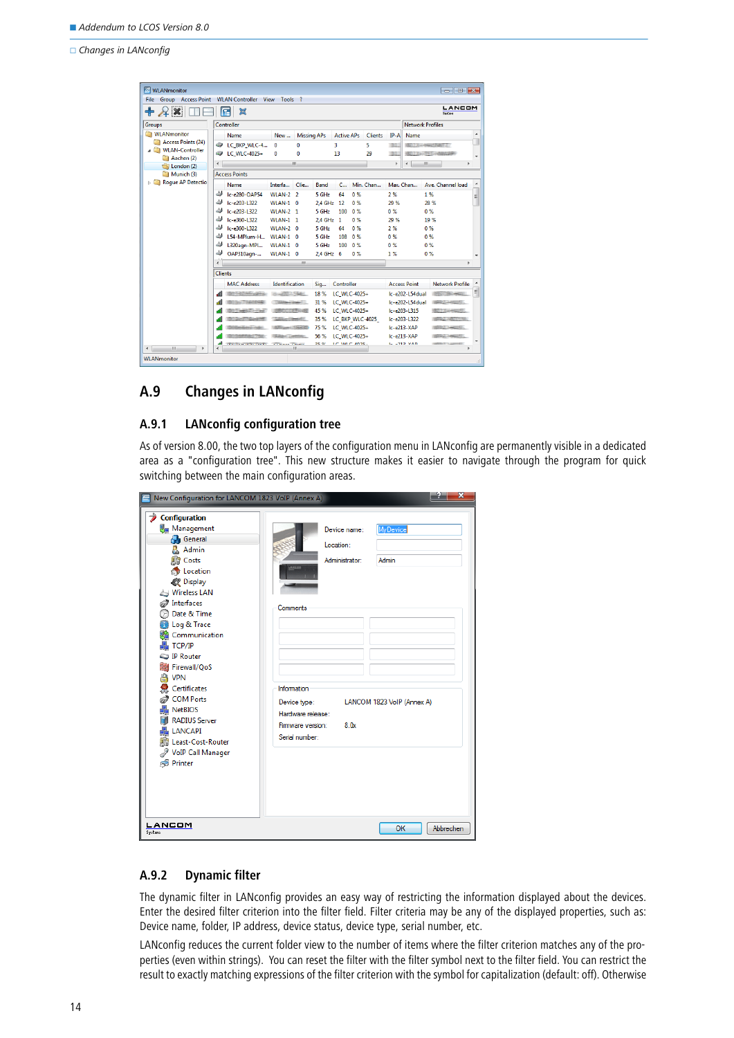□ Changes in LANconfig

| MLANmonitor                              |                                                            |                                    |                         |                          | $\begin{array}{c c c c c c} \hline \multicolumn{3}{c }{\textbf{}} & \multicolumn{3}{c }{\textbf{}} & \multicolumn{3}{c }{\textbf{}} & \multicolumn{3}{c }{\textbf{}} \end{array}$ |
|------------------------------------------|------------------------------------------------------------|------------------------------------|-------------------------|--------------------------|-----------------------------------------------------------------------------------------------------------------------------------------------------------------------------------|
| <b>Group</b> Access Point<br><b>File</b> | <b>WLAN Controller</b>                                     | View<br>Tools ?                    |                         |                          |                                                                                                                                                                                   |
| $+2x$                                    | 鼠<br>ſп                                                    |                                    |                         |                          | LANCOM<br><b>Systems</b>                                                                                                                                                          |
| Groups                                   | Controller                                                 |                                    |                         |                          | <b>Network Profiles</b>                                                                                                                                                           |
| <b>WLANmonitor</b>                       | Name                                                       | <b>Missing APs</b><br>New          | <b>Active APs</b>       | <b>Clients</b><br>$IP-A$ | ▴<br>Name                                                                                                                                                                         |
| Access Points (24)                       | LC_BKP_WLC-4                                               | $\Omega$<br>0                      | 3                       | 5<br>TEL.                | <b>COLLEGE AND STREET</b>                                                                                                                                                         |
| MLAN-Controller                          | C WLC-4025+                                                | $\bf{0}$<br>n                      | 13                      | 29<br>m                  | ۰                                                                                                                                                                                 |
| Aachen (2)<br>London (2)                 | $\overline{ }$                                             | m.                                 |                         | r.                       | m.<br>$\overline{ }$<br>٠                                                                                                                                                         |
| Munich (3)                               | <b>Access Points</b>                                       |                                    |                         |                          |                                                                                                                                                                                   |
| <b>Roque AP Detectio</b><br>D.           | Name                                                       | Interfa<br>Clie                    | Band<br>$C_{\cdots}$    | Min. Chan                | Max. Chan<br>Ave. Channel load<br>۰                                                                                                                                               |
|                                          | ᆚ<br>Ic-e280-OAP54                                         | <b>WLAN-2 2</b>                    | 5 GHz<br>0%<br>64       | 2%                       | 1%<br>리                                                                                                                                                                           |
|                                          | 4<br>Ic-e203-L322                                          | $WLAN-1$ 0                         | 2.4 GHz 12<br>$0\%$     | 29 %                     | 28 %                                                                                                                                                                              |
|                                          | Ic-e203-1322                                               | <b>WI AN-2 1</b>                   | 5 GHz<br>0%<br>100      | 0%                       | 0%                                                                                                                                                                                |
|                                          | Ic-e360-L322                                               | <b>WLAN-1 1</b>                    | 2.4 GHz 1<br>0%         | 29 %                     | 19 %                                                                                                                                                                              |
|                                          | Ic-e360-L322                                               | $WLAN-2$ 0                         | 5 GHz<br>0%<br>64       | 2%                       | 0%                                                                                                                                                                                |
|                                          | L54-MPlum-H                                                | WLAN-1<br>$\Omega$                 | 5 GHz<br>0%<br>108      | 0%                       | 0%                                                                                                                                                                                |
|                                          | L320agn-MPI                                                | <b>WLAN-1</b><br>$\Omega$          | 5 GHz<br>0%<br>100      | 0%                       | 0%                                                                                                                                                                                |
|                                          | پ<br>OAP310agn-                                            | WLAN-1 0                           | $2.4$ GHz 6<br>0%       | 1%                       | 0%<br>٠                                                                                                                                                                           |
|                                          | $\overline{4}$                                             | m.                                 |                         |                          | b.                                                                                                                                                                                |
|                                          | <b>Clients</b>                                             |                                    |                         |                          |                                                                                                                                                                                   |
|                                          | <b>MAC Address</b>                                         | Identification                     | Controller<br>Sig       |                          | <b>Access Point</b><br>Network Profile                                                                                                                                            |
|                                          | <b>The Contract Contract of Con-</b><br>۵ĩ                 | WEED TO THE BARNET                 | 18 %<br>LC WLC-4025+    |                          | 티<br>Ic-e202-154dual                                                                                                                                                              |
|                                          | <b>STI TENNY OF INSPECTIONALLY</b>                         | The company of the property of the | 31 %<br>LC WLC-4025+    |                          | Ic-e202-L54dual<br>(GREET) - 1982) ST.                                                                                                                                            |
|                                          |                                                            | HHE CONTROL                        | 45 %<br>LC WLC-4025+    |                          | Ic-e203-L315                                                                                                                                                                      |
|                                          |                                                            | <b>Charles Commercial</b>          | 35 %<br>LC BKP WLC-4025 |                          | Ic-e203-1322                                                                                                                                                                      |
|                                          |                                                            | <b>CONTRACTOR</b>                  | 75 %<br>LC WLC-4025+    |                          | Ic-e213-XAP<br>2. 2. 开始选择。                                                                                                                                                        |
|                                          |                                                            | China Louisiano                    | 56 %<br>LC WLC-4025+    |                          | $lc$ -e $213-XAP$<br><b>BARLEY LANGUARD</b>                                                                                                                                       |
| $\overline{m}$<br>۰                      | ۵Ĥ<br><b>CONTRACTOR CONTRACTOR</b><br>$\blacktriangleleft$ | <b>STRAKE TRIBU</b><br>m           | DE W<br>LC MLC 4025.    |                          | <b>I-AMD VAN</b><br><b><i>CARDINAL WITH COMMUNICATION</i></b><br>۰                                                                                                                |
| <b>WLANmonitor</b>                       |                                                            |                                    |                         |                          |                                                                                                                                                                                   |

## <span id="page-13-0"></span>**A.9 Changes in LANconfig**

## **A.9.1 LANconfig configuration tree**

As of version 8.00, the two top layers of the configuration menu in LANconfig are permanently visible in a dedicated area as a "configuration tree". This new structure makes it easier to navigate through the program for quick switching between the main configuration areas.

| x<br>New Configuration for LANCOM 1823 VoIP (Annex A)                                                                                                                                                                                                                                                                                                                                                                                      |                                                                                                                                                                                                                                  |  |  |  |  |  |  |  |
|--------------------------------------------------------------------------------------------------------------------------------------------------------------------------------------------------------------------------------------------------------------------------------------------------------------------------------------------------------------------------------------------------------------------------------------------|----------------------------------------------------------------------------------------------------------------------------------------------------------------------------------------------------------------------------------|--|--|--|--|--|--|--|
| Configuration<br>Management<br><b>B</b> General<br>Admin<br><b>Diff</b> Costs<br><b>Co</b> Location<br>Display<br>Wireless LAN<br>Thterfaces<br>Date & Time<br>Log & Trace<br>Communication<br>TCP/IP<br><b>IP Router</b><br>Firewall/QoS<br>a<br><b>VPN</b><br>Certificates<br><b>COM Ports</b><br><b>NetBIOS</b><br><b>RADIUS Server</b><br><b>LANCAPI</b><br><b>Difference</b> Least-Cost-Router<br>VoIP Call Manager<br><b>Printer</b> | <b>MyDevice</b><br>Device name:<br>Location:<br>Administrator:<br>Admin<br>Comments<br>Information<br>Device type:<br>LANCOM 1823 VolP (Annex A)<br>Hardware release:<br>Firmware version:<br>8.0 <sub>x</sub><br>Serial number: |  |  |  |  |  |  |  |
| LANCOM<br><b>Systems</b>                                                                                                                                                                                                                                                                                                                                                                                                                   | OK<br>Abbrechen                                                                                                                                                                                                                  |  |  |  |  |  |  |  |

## **A.9.2 Dynamic filter**

The dynamic filter in LANconfig provides an easy way of restricting the information displayed about the devices. Enter the desired filter criterion into the filter field. Filter criteria may be any of the displayed properties, such as: Device name, folder, IP address, device status, device type, serial number, etc.

LANconfig reduces the current folder view to the number of items where the filter criterion matches any of the properties (even within strings). You can reset the filter with the filter symbol next to the filter field. You can restrict the result to exactly matching expressions of the filter criterion with the symbol for capitalization (default: off). Otherwise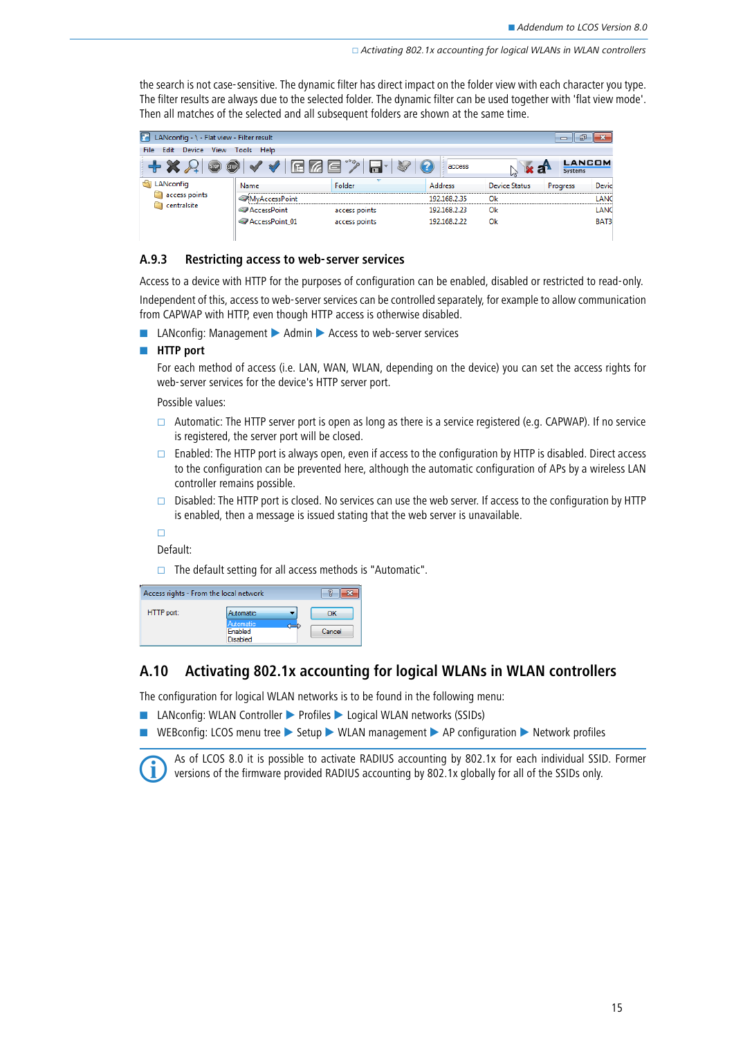the search is not case-sensitive. The dynamic filter has direct impact on the folder view with each character you type. The filter results are always due to the selected folder. The dynamic filter can be used together with 'flat view mode'. Then all matches of the selected and all subsequent folders are shown at the same time.

| LANconfig - \ - Flat view - Filter result     |                       |               |                |                      | 偘<br>$\Box$              |       |
|-----------------------------------------------|-----------------------|---------------|----------------|----------------------|--------------------------|-------|
| Edit Device View<br>File                      | Tools Help            |               |                |                      |                          |       |
| $\rightarrow \infty$<br>[510P]<br><b>STOP</b> | <b>FIZE</b><br>$\sim$ | ы             | access         |                      | <b>LANCOM</b><br>Systems |       |
| <b>Explored LANconfig</b>                     | Name                  | Folder        | <b>Address</b> | <b>Device Status</b> | Progress                 | Devic |
| access points                                 | MvAccessPoint         |               | 192.168.2.35   | Ok                   |                          | LANC  |
| centralsite                                   | AccessPoint           | access points | 192.168.2.23   | Ok                   |                          | LANC  |
|                                               | AccessPoint 01        | access points | 192.168.2.22   | Ok                   |                          | BAT3  |
|                                               |                       |               |                |                      |                          |       |

#### **A.9.3 Restricting access to web-server services**

Access to a device with HTTP for the purposes of configuration can be enabled, disabled or restricted to read-only. Independent of this, access to web-server services can be controlled separately, for example to allow communication from CAPWAP with HTTP, even though HTTP access is otherwise disabled.

■ LANconfig: Management ▶ Admin ▶ Access to web-server services

#### - **HTTP port**

For each method of access (i.e. LAN, WAN, WLAN, depending on the device) you can set the access rights for web-server services for the device's HTTP server port.

Possible values:

- $\Box$  Automatic: The HTTP server port is open as long as there is a service registered (e.g. CAPWAP). If no service is registered, the server port will be closed.
- $\Box$  Enabled: The HTTP port is always open, even if access to the configuration by HTTP is disabled. Direct access to the configuration can be prevented here, although the automatic configuration of APs by a wireless LAN controller remains possible.
- Disabled: The HTTP port is closed. No services can use the web server. If access to the configuration by HTTP is enabled, then a message is issued stating that the web server is unavailable.

 $\Box$ 

Default:

 $\Box$  The default setting for all access methods is "Automatic".

| Access rights - From the local network |                            |        |
|----------------------------------------|----------------------------|--------|
| HTTP port:                             | Automatic<br>Automatic     | ΩК     |
|                                        | Enabled<br><b>Disabled</b> | Cancel |

## <span id="page-14-0"></span>**A.10 Activating 802.1x accounting for logical WLANs in WLAN controllers**

The configuration for logical WLAN networks is to be found in the following menu:

- LANconfig: WLAN Controller ▶ Profiles ▶ Logical WLAN networks (SSIDs)
- WEBconfig: LCOS menu tree ▶ Setup ▶ WLAN management ▶ AP configuration ▶ Network profiles



As of LCOS 8.0 it is possible to activate RADIUS accounting by 802.1x for each individual SSID. Former versions of the firmware provided RADIUS accounting by 802.1x globally for all of the SSIDs only.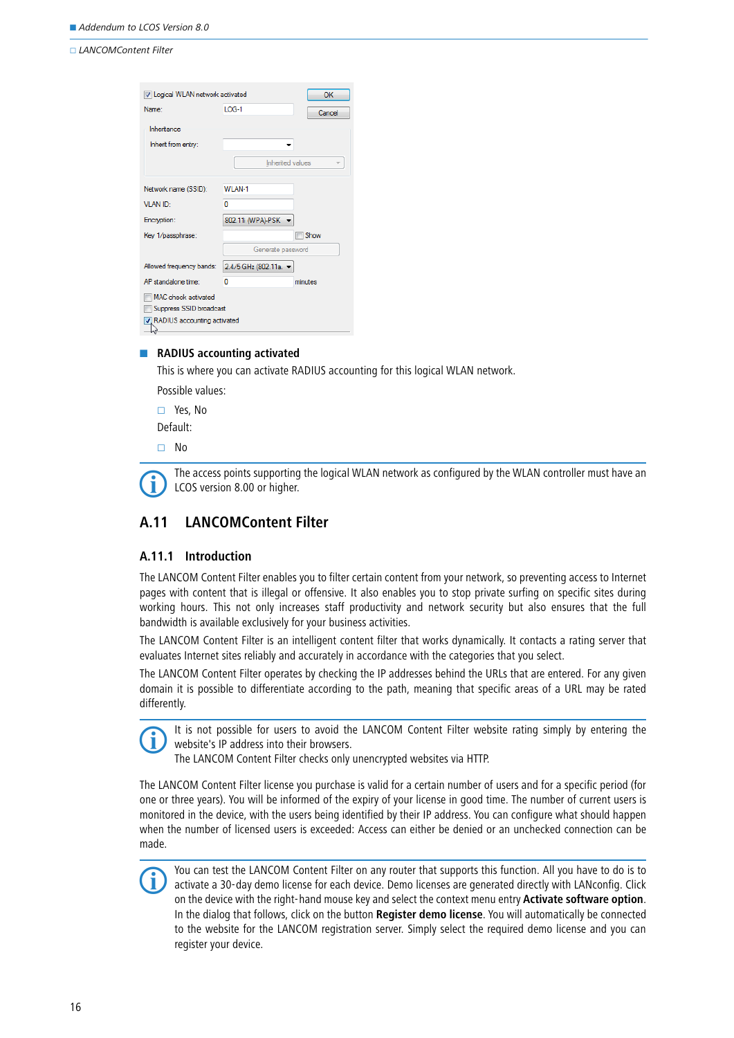| IV Logical WLAN network activated                                             |                     | OK          |
|-------------------------------------------------------------------------------|---------------------|-------------|
| Name:                                                                         | $10G-1$             | Cancel      |
| Inheritance<br>Inherit from entry:                                            |                     |             |
|                                                                               | Inherited values    |             |
| Network name (SSID):                                                          | WI AN-1             |             |
| VI AN ID:                                                                     | n                   |             |
| Encryption:                                                                   | 802.11i (WPA)-PSK   |             |
| Key 1/passphrase:                                                             |                     | <b>Show</b> |
|                                                                               | Generate password   |             |
| Allowed frequency bands:                                                      | 2.4/5 GHz (802.11a. |             |
| AP standalone time:                                                           | n                   | minutes.    |
| MAC check activated<br>Suppress SSID broadcast<br>RADIUS accounting activated |                     |             |
|                                                                               |                     |             |

#### **RADIUS accounting activated**

This is where you can activate RADIUS accounting for this logical WLAN network.

Possible values:

 Yes, No Default:

No

 The access points supporting the logical WLAN network as configured by the WLAN controller must have an LCOS version 8.00 or higher.

## <span id="page-15-0"></span>**A.11 LANCOMContent Filter**

### **A.11.1 Introduction**

The LANCOM Content Filter enables you to filter certain content from your network, so preventing access to Internet pages with content that is illegal or offensive. It also enables you to stop private surfing on specific sites during working hours. This not only increases staff productivity and network security but also ensures that the full bandwidth is available exclusively for your business activities.

The LANCOM Content Filter is an intelligent content filter that works dynamically. It contacts a rating server that evaluates Internet sites reliably and accurately in accordance with the categories that you select.

The LANCOM Content Filter operates by checking the IP addresses behind the URLs that are entered. For any given domain it is possible to differentiate according to the path, meaning that specific areas of a URL may be rated differently.



It is not possible for users to avoid the LANCOM Content Filter website rating simply by entering the website's IP address into their browsers.

The LANCOM Content Filter checks only unencrypted websites via HTTP.

The LANCOM Content Filter license you purchase is valid for a certain number of users and for a specific period (for one or three years). You will be informed of the expiry of your license in good time. The number of current users is monitored in the device, with the users being identified by their IP address. You can configure what should happen when the number of licensed users is exceeded: Access can either be denied or an unchecked connection can be made.



 You can test the LANCOM Content Filter on any router that supports this function. All you have to do is to activate a 30-day demo license for each device. Demo licenses are generated directly with LANconfig. Click on the device with the right-hand mouse key and select the context menu entry **Activate software option**. In the dialog that follows, click on the button **Register demo license**. You will automatically be connected to the website for the LANCOM registration server. Simply select the required demo license and you can register your device.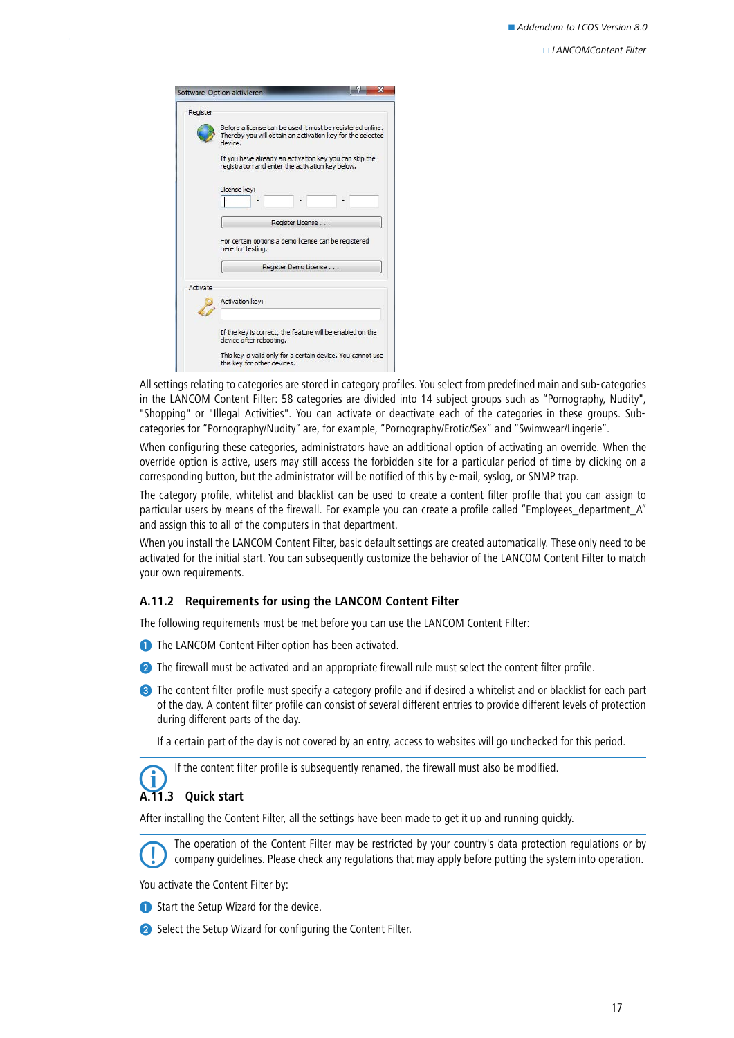| Register |                                                                                                                                     |
|----------|-------------------------------------------------------------------------------------------------------------------------------------|
|          | Before a license can be used it must be registered online.<br>Thereby you will obtain an activation key for the selected<br>device. |
|          | If you have already an activation key you can skip the<br>registration and enter the activation key below.                          |
|          | License key:                                                                                                                        |
|          |                                                                                                                                     |
|          | Register License                                                                                                                    |
|          |                                                                                                                                     |
|          | For certain options a demo license can be registered<br>here for testing.                                                           |
|          | Register Demo License                                                                                                               |
| Activate |                                                                                                                                     |
|          | Activation key:                                                                                                                     |
|          | If the key is correct, the feature will be enabled on the<br>device after rebooting.                                                |

All settings relating to categories are stored in category profiles. You select from predefined main and sub-categories in the LANCOM Content Filter: 58 categories are divided into 14 subject groups such as "Pornography, Nudity", "Shopping" or "Illegal Activities". You can activate or deactivate each of the categories in these groups. Subcategories for "Pornography/Nudity" are, for example, "Pornography/Erotic/Sex" and "Swimwear/Lingerie".

When configuring these categories, administrators have an additional option of activating an override. When the override option is active, users may still access the forbidden site for a particular period of time by clicking on a corresponding button, but the administrator will be notified of this by e-mail, syslog, or SNMP trap.

The category profile, whitelist and blacklist can be used to create a content filter profile that you can assign to particular users by means of the firewall. For example you can create a profile called "Employees\_department\_A" and assign this to all of the computers in that department.

When you install the LANCOM Content Filter, basic default settings are created automatically. These only need to be activated for the initial start. You can subsequently customize the behavior of the LANCOM Content Filter to match your own requirements.

## **A.11.2 Requirements for using the LANCOM Content Filter**

The following requirements must be met before you can use the LANCOM Content Filter:

- The LANCOM Content Filter option has been activated.
- **2** The firewall must be activated and an appropriate firewall rule must select the content filter profile.
- **S** The content filter profile must specify a category profile and if desired a whitelist and or blacklist for each part of the day. A content filter profile can consist of several different entries to provide different levels of protection during different parts of the day.

If a certain part of the day is not covered by an entry, access to websites will go unchecked for this period.

If the content filter profile is subsequently renamed, the firewall must also be modified.

## **A.11.3 Quick start**

After installing the Content Filter, all the settings have been made to get it up and running quickly.

 The operation of the Content Filter may be restricted by your country's data protection regulations or by company guidelines. Please check any regulations that may apply before putting the system into operation.

You activate the Content Filter by:

- **Start the Setup Wizard for the device.**
- 2 Select the Setup Wizard for configuring the Content Filter.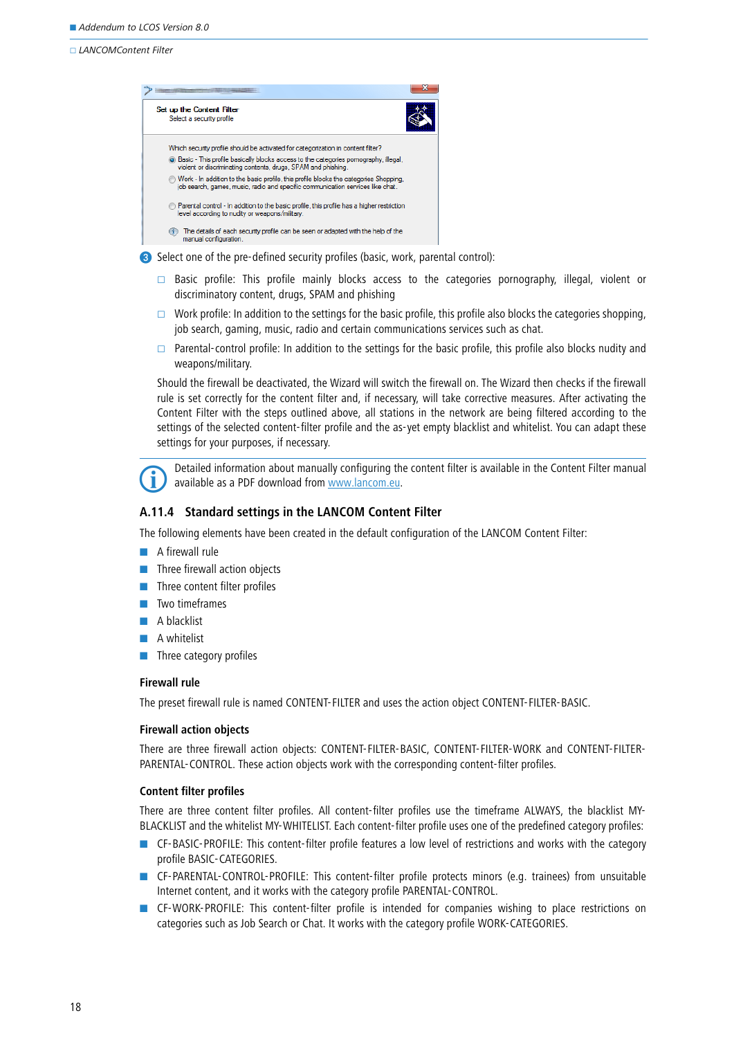

Select one of the pre-defined security profiles (basic, work, parental control):

- $\Box$  Basic profile: This profile mainly blocks access to the categories pornography, illegal, violent or discriminatory content, drugs, SPAM and phishing
- Work profile: In addition to the settings for the basic profile, this profile also blocks the categories shopping, job search, gaming, music, radio and certain communications services such as chat.
- $\Box$  Parental-control profile: In addition to the settings for the basic profile, this profile also blocks nudity and weapons/military.

Should the firewall be deactivated, the Wizard will switch the firewall on. The Wizard then checks if the firewall rule is set correctly for the content filter and, if necessary, will take corrective measures. After activating the Content Filter with the steps outlined above, all stations in the network are being filtered according to the settings of the selected content-filter profile and the as-yet empty blacklist and whitelist. You can adapt these settings for your purposes, if necessary.

 Detailed information about manually configuring the content filter is available in the Content Filter manual available as a PDF download from [www.lancom.eu.](www.lancom.de)

### **A.11.4 Standard settings in the LANCOM Content Filter**

The following elements have been created in the default configuration of the LANCOM Content Filter:

- **A** firewall rule
- **Three firewall action objects**
- -Three content filter profiles
- -Two timeframes
- -A blacklist
- -A whitelist
- **Three category profiles**

#### **Firewall rule**

The preset firewall rule is named CONTENT-FILTER and uses the action object CONTENT-FILTER-BASIC.

#### **Firewall action objects**

There are three firewall action objects: CONTENT-FILTER-BASIC, CONTENT-FILTER-WORK and CONTENT-FILTER-PARENTAL-CONTROL. These action objects work with the corresponding content-filter profiles.

#### **Content filter profiles**

There are three content filter profiles. All content-filter profiles use the timeframe ALWAYS, the blacklist MY-BLACKLIST and the whitelist MY-WHITELIST. Each content-filter profile uses one of the predefined category profiles:

- - CF-BASIC-PROFILE: This content-filter profile features a low level of restrictions and works with the category profile BASIC-CATEGORIES.
- **EXECT-PARENTAL-CONTROL-PROFILE:** This content-filter profile protects minors (e.g. trainees) from unsuitable Internet content, and it works with the category profile PARENTAL-CONTROL.
- **EXECT:** CF-WORK-PROFILE: This content-filter profile is intended for companies wishing to place restrictions on categories such as Job Search or Chat. It works with the category profile WORK-CATEGORIES.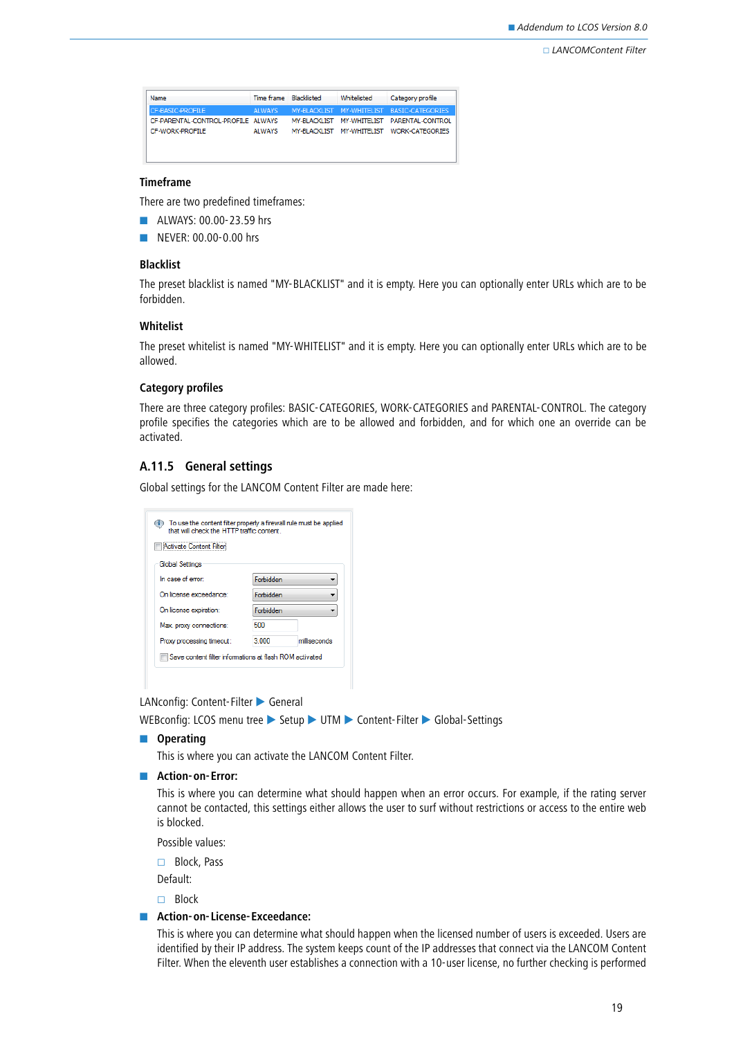| Name                               | Time frame Blacklisted | Whitelisted | Category profile                           |
|------------------------------------|------------------------|-------------|--------------------------------------------|
| CF-BASIC-PROFILE                   | AI WAYS                |             | MY-BLACKLIST MY-WHITELIST BASIC-CATEGORIES |
| CF-PARENTAL-CONTROL-PROFILE ALWAYS |                        |             | MY-BLACKLIST MY-WHITELIST PARENTAL-CONTROL |
| CF-WORK-PROFILE                    | AI WAYS                |             | MY-BLACKLIST MY-WHITELIST WORK-CATEGORIES  |
|                                    |                        |             |                                            |
|                                    |                        |             |                                            |

## **Timeframe**

There are two predefined timeframes:

- **ALWAYS: 00.00-23.59 hrs**
- -NEVER: 00.00-0.00 hrs

#### **Blacklist**

The preset blacklist is named "MY-BLACKLIST" and it is empty. Here you can optionally enter URLs which are to be forbidden.

#### **Whitelist**

The preset whitelist is named "MY-WHITELIST" and it is empty. Here you can optionally enter URLs which are to be allowed.

### **Category profiles**

There are three category profiles: BASIC-CATEGORIES, WORK-CATEGORIES and PARENTAL-CONTROL. The category profile specifies the categories which are to be allowed and forbidden, and for which one an override can be activated.

## **A.11.5 General settings**

Global settings for the LANCOM Content Filter are made here:

| that will check the HTTP traffic content. | To use the content filter properly a firewall rule must be applied |
|-------------------------------------------|--------------------------------------------------------------------|
| Activate Content Filter                   |                                                                    |
| Global Settings                           |                                                                    |
| In case of error:                         | Enrhidden                                                          |
| On license exceedance:                    | Forbidden                                                          |
| On license expiration:                    | Eorbidden                                                          |
| Max. proxy connections:                   | 500                                                                |
| Proxy processing timeout:                 | 3.000<br>milliseconds                                              |
|                                           | Save content filter informations at flash ROM activated            |
|                                           |                                                                    |

LANconfig: Content-Filter General

WEBconfig: LCOS menu tree > Setup > UTM > Content-Filter > Global-Settings

 $\blacksquare$  Operating

This is where you can activate the LANCOM Content Filter.

**E** Action-on-Error:

This is where you can determine what should happen when an error occurs. For example, if the rating server cannot be contacted, this settings either allows the user to surf without restrictions or access to the entire web is blocked.

Possible values:

□ Block, Pass

Default:

□ Block

#### **E** Action-on-License-Exceedance:

This is where you can determine what should happen when the licensed number of users is exceeded. Users are identified by their IP address. The system keeps count of the IP addresses that connect via the LANCOM Content Filter. When the eleventh user establishes a connection with a 10-user license, no further checking is performed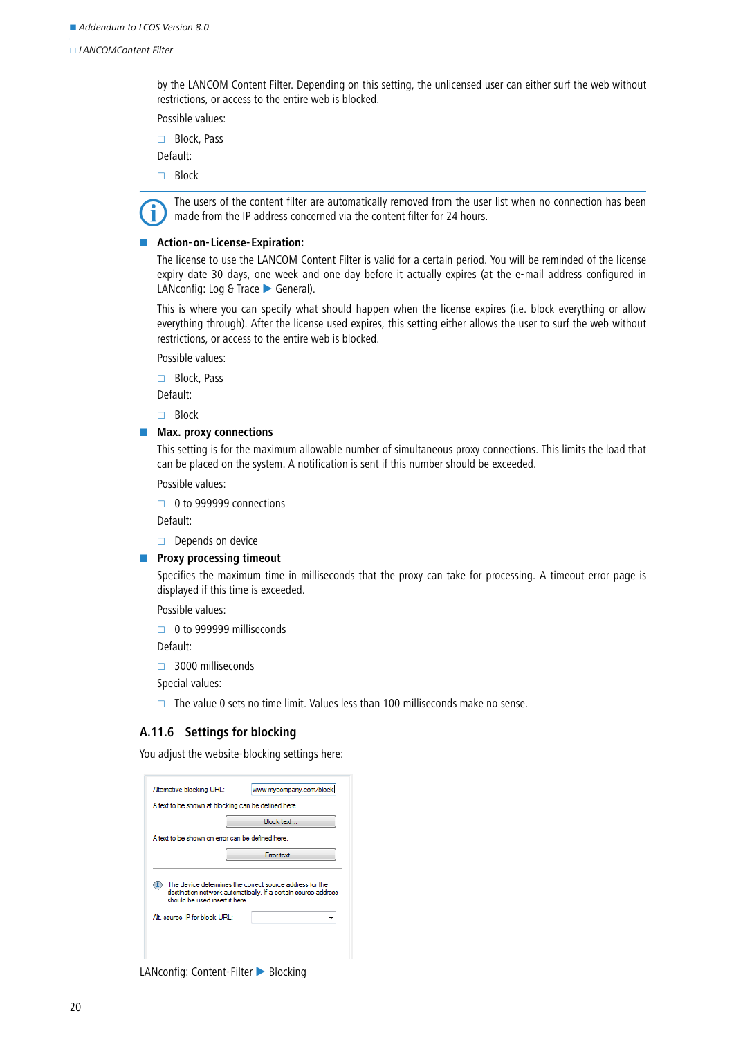by the LANCOM Content Filter. Depending on this setting, the unlicensed user can either surf the web without restrictions, or access to the entire web is blocked.

Possible values:

□ Block, Pass

Default:

□ Block



 The users of the content filter are automatically removed from the user list when no connection has been made from the IP address concerned via the content filter for 24 hours.

#### -**Action-on-License-Expiration:**

The license to use the LANCOM Content Filter is valid for a certain period. You will be reminded of the license expiry date 30 days, one week and one day before it actually expires (at the e-mail address configured in LANconfig: Log & Trace General).

This is where you can specify what should happen when the license expires (i.e. block everything or allow everything through). After the license used expires, this setting either allows the user to surf the web without restrictions, or access to the entire web is blocked.

Possible values:

□ Block, Pass

Default:

 $\Box$  Block

**E** Max. proxy connections

This setting is for the maximum allowable number of simultaneous proxy connections. This limits the load that can be placed on the system. A notification is sent if this number should be exceeded.

Possible values:

 $\Box$  0 to 999999 connections

Default:

 $\Box$  Depends on device

#### **E** Proxy processing timeout

Specifies the maximum time in milliseconds that the proxy can take for processing. A timeout error page is displayed if this time is exceeded.

Possible values:

□ 0 to 999999 milliseconds

Default:

□ 3000 milliseconds

Special values:

 $\Box$  The value 0 sets no time limit. Values less than 100 milliseconds make no sense.

## **A.11.6 Settings for blocking**

You adjust the website-blocking settings here:

| Altemative blocking URL:                                        | www.mycompany.com/block                                                                                                    |
|-----------------------------------------------------------------|----------------------------------------------------------------------------------------------------------------------------|
| A text to be shown at blocking can be defined here.             |                                                                                                                            |
|                                                                 | <b>Block text</b>                                                                                                          |
| A text to be shown on error can be defined here                 |                                                                                                                            |
|                                                                 | <b>Emortext</b>                                                                                                            |
| should be used insert it here.<br>Alt, source IP for block URL: | The device determines the correct source address for the<br>destination network automatically. If a certain source address |

LANconfig: Content-Filter Blocking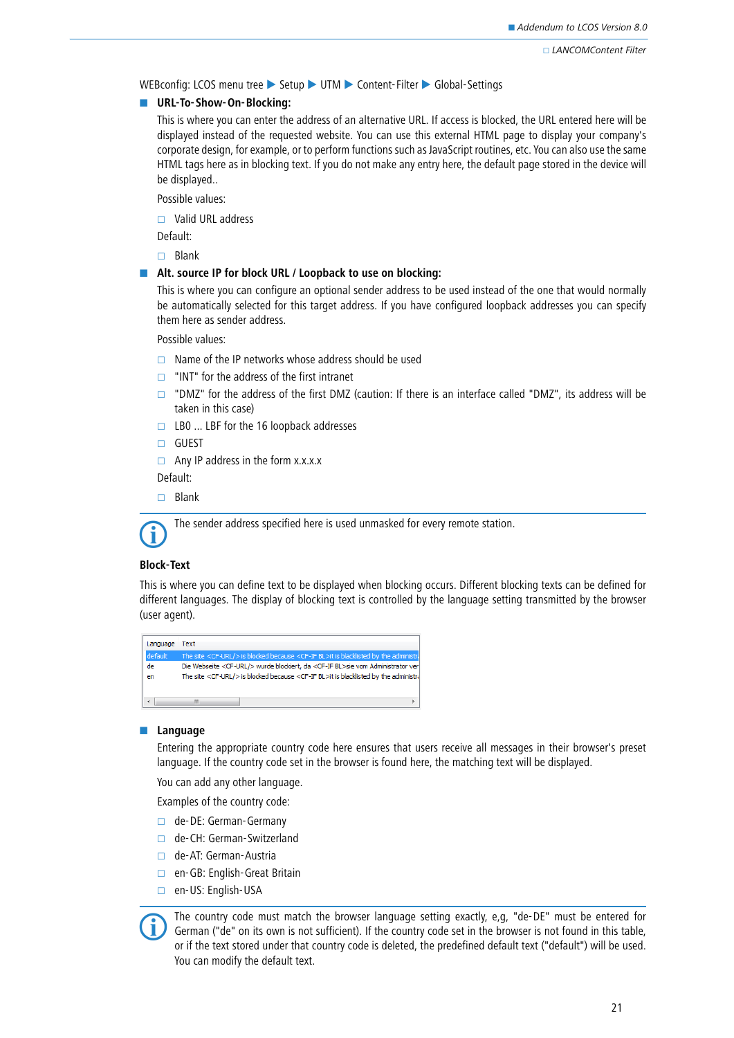WEBconfig: LCOS menu tree > Setup > UTM > Content-Filter > Global-Settings

#### **No. 3 URL-To-Show-On-Blocking:**

This is where you can enter the address of an alternative URL. If access is blocked, the URL entered here will be displayed instead of the requested website. You can use this external HTML page to display your company's corporate design, for example, or to perform functions such as JavaScript routines, etc. You can also use the same HTML tags here as in blocking text. If you do not make any entry here, the default page stored in the device will be displayed..

Possible values:

Valid URL address

Default:

 $\Box$  Blank

#### **Alt. source IP for block URL / Loopback to use on blocking:**

This is where you can configure an optional sender address to be used instead of the one that would normally be automatically selected for this target address. If you have configured loopback addresses you can specify them here as sender address.

Possible values:

- $\Box$  Name of the IP networks whose address should be used
- $\Box$  "INT" for the address of the first intranet
- "DMZ" for the address of the first DMZ (caution: If there is an interface called "DMZ", its address will be taken in this case)
- $\Box$  LB0 ... LBF for the 16 loopback addresses
- □ GUEST
- $\Box$  Any IP address in the form x.x.x.x

Default:

 $\Box$  Blank



The sender address specified here is used unmasked for every remote station.

#### **Block-Text**

This is where you can define text to be displayed when blocking occurs. Different blocking texts can be defined for different languages. The display of blocking text is controlled by the language setting transmitted by the browser (user agent).

| Language | Text                                                                                                    |
|----------|---------------------------------------------------------------------------------------------------------|
| default  | The site <cf-url></cf-url> is blocked because <cf-if bl="">it is blacklisted by the administr</cf-if>   |
| de       | Die Webseite <cf-url></cf-url> wurde blockiert, da <cf-if bl="">sie vom Administrator ver</cf-if>       |
| en       | The site <cf-url></cf-url> is blocked because <cf-if bl="">it is blacklisted by the administral</cf-if> |
|          |                                                                                                         |
|          | Ш                                                                                                       |

#### **Language**

Entering the appropriate country code here ensures that users receive all messages in their browser's preset language. If the country code set in the browser is found here, the matching text will be displayed.

You can add any other language.

Examples of the country code:

- de-DE: German-Germany
- □ de-CH: German-Switzerland
- □ de-AT: German-Austria
- □ en-GB: English-Great Britain
- □ en-US: English-USA



The country code must match the browser language setting exactly, e,g, "de-DE" must be entered for German ("de" on its own is not sufficient). If the country code set in the browser is not found in this table, we say if th or if the text stored under that country code is deleted, the predefined default text ("default") will be used. You can modify the default text.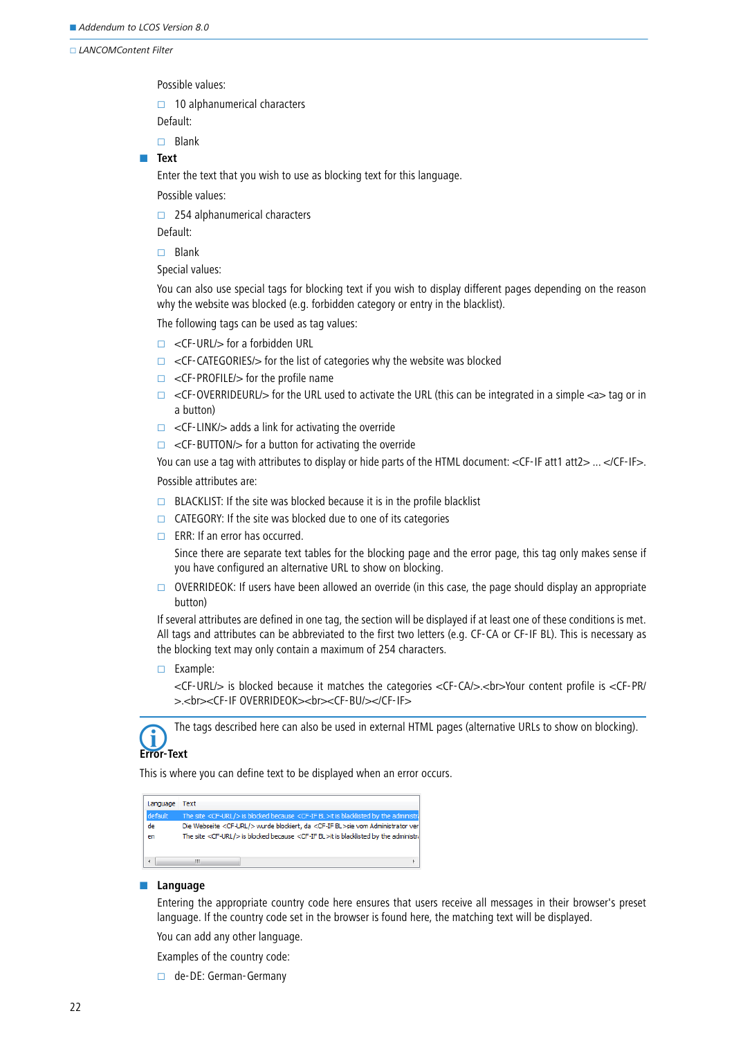Possible values:

 $\Box$  10 alphanumerical characters

Default:

 $\Box$  Blank

## - **Text**

Enter the text that you wish to use as blocking text for this language.

Possible values:

 $\Box$  254 alphanumerical characters

Default:

 $\Box$  Blank

Special values:

You can also use special tags for blocking text if you wish to display different pages depending on the reason why the website was blocked (e.g. forbidden category or entry in the blacklist).

The following tags can be used as tag values:

- $\Box$  <CF-URL/> for a forbidden URL
- $\Box$  <CF-CATEGORIES/ $>$  for the list of categories why the website was blocked
- $\Box$  <CF-PROFILE/> for the profile name
- $\Box$  <CF-OVERRIDEURL/> for the URL used to activate the URL (this can be integrated in a simple <a> tag or in a button)
- $\Box$  <CF-LINK/> adds a link for activating the override
- $\Box$  <CF-BUTTON/ $>$  for a button for activating the override

You can use a tag with attributes to display or hide parts of the HTML document: <CF-IF att1 att2> ... </CF-IF>. Possible attributes are:

- $\Box$  BLACKLIST: If the site was blocked because it is in the profile blacklist
- $\Box$  CATEGORY: If the site was blocked due to one of its categories
- $\Box$  ERR: If an error has occurred.

Since there are separate text tables for the blocking page and the error page, this tag only makes sense if you have configured an alternative URL to show on blocking.

 $\Box$  OVERRIDEOK: If users have been allowed an override (in this case, the page should display an appropriate button)

If several attributes are defined in one tag, the section will be displayed if at least one of these conditions is met. All tags and attributes can be abbreviated to the first two letters (e.g. CF-CA or CF-IF BL). This is necessary as the blocking text may only contain a maximum of 254 characters.

 $\Box$  Example:

<CF-URL/> is blocked because it matches the categories <CF-CA/>.<br>Your content profile is <CF-PR/ >.<br><CF-IF OVERRIDEOK><br><CF-BU/></CF-IF>



The tags described here can also be used in external HTML pages (alternative URLs to show on blocking).

## **Error-Text**

This is where you can define text to be displayed when an error occurs.

| Language | Text                                                                                                    |
|----------|---------------------------------------------------------------------------------------------------------|
| default  | The site <cf-url></cf-url> is blocked because <cf-if bl="">it is blacklisted by the administr</cf-if>   |
| de       | Die Webseite <cf-url></cf-url> wurde blockiert, da <cf-if bl="">sie vom Administrator ver</cf-if>       |
| en       | The site <cf-url></cf-url> is blocked because <cf-if bl="">it is blacklisted by the administral</cf-if> |
|          |                                                                                                         |
|          |                                                                                                         |

#### -**Language**

Entering the appropriate country code here ensures that users receive all messages in their browser's preset language. If the country code set in the browser is found here, the matching text will be displayed.

You can add any other language.

Examples of the country code:

de-DE: German-Germany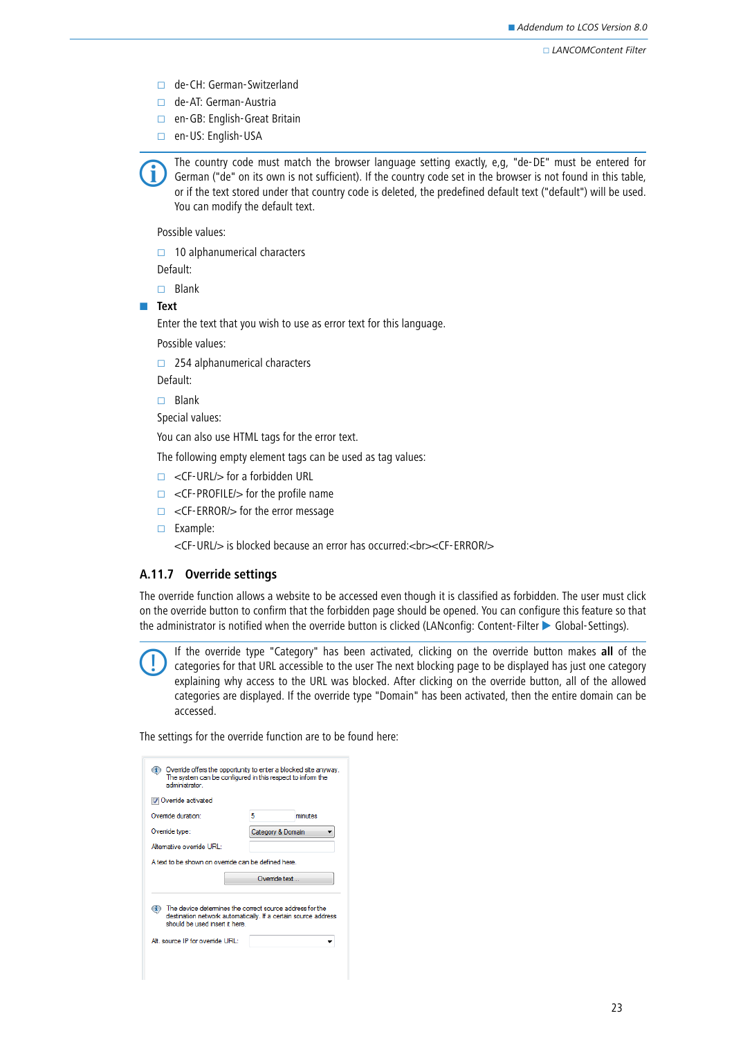- □ de-CH: German-Switzerland
- □ de-AT: German-Austria
- □ en-GB: English-Great Britain
- en-US: English-USA

 The country code must match the browser language setting exactly, e,g, "de-DE" must be entered for German ("de" on its own is not sufficient). If the country code set in the browser is not found in this table, or if the text stored under that country code is deleted, the predefined default text ("default") will be used. You can modify the default text.

Possible values:

 $\Box$  10 alphanumerical characters

Default:

 $\Box$  Blank

- **Text**

Enter the text that you wish to use as error text for this language.

Possible values:

 $\Box$  254 alphanumerical characters

Default:

 $\Box$  Blank

Special values:

You can also use HTML tags for the error text.

The following empty element tags can be used as tag values:

- □ <CF-URL/> for a forbidden URL
- $\Box$  <CF-PROFILE/ $>$  for the profile name
- $\Box$  <CF-ERROR/ $>$  for the error message
- Example:

<CF-URL/> is blocked because an error has occurred:<br><CF-ERROR/>

## **A.11.7 Override settings**

The override function allows a website to be accessed even though it is classified as forbidden. The user must click on the override button to confirm that the forbidden page should be opened. You can configure this feature so that the administrator is notified when the override button is clicked (LANconfig: Content-Filter > Global-Settings).

 If the override type "Category" has been activated, clicking on the override button makes **all** of the categories for that URL accessible to the user The next blocking page to be displayed has just one category explaining why access to the URL was blocked. After clicking on the override button, all of the allowed categories are displayed. If the override type "Domain" has been activated, then the entire domain can be accessed.

The settings for the override function are to be found here:

| $\bf(i)$<br>administrator                                                                                                    | Override offers the opportunity to enter a blocked site anyway.<br>The system can be configured in this respect to inform the |
|------------------------------------------------------------------------------------------------------------------------------|-------------------------------------------------------------------------------------------------------------------------------|
| V Ovemde activated                                                                                                           |                                                                                                                               |
| Override duration:                                                                                                           | 5<br>minutes                                                                                                                  |
| Override type:                                                                                                               | Category & Domain                                                                                                             |
| Alternative override URL:                                                                                                    |                                                                                                                               |
| A text to be shown on override can be defined here.                                                                          |                                                                                                                               |
|                                                                                                                              | Override text                                                                                                                 |
| The device detemines the correct source address for the<br>should be used insert it here<br>Alt. source IP for override URL: | destination network automatically. If a certain source address                                                                |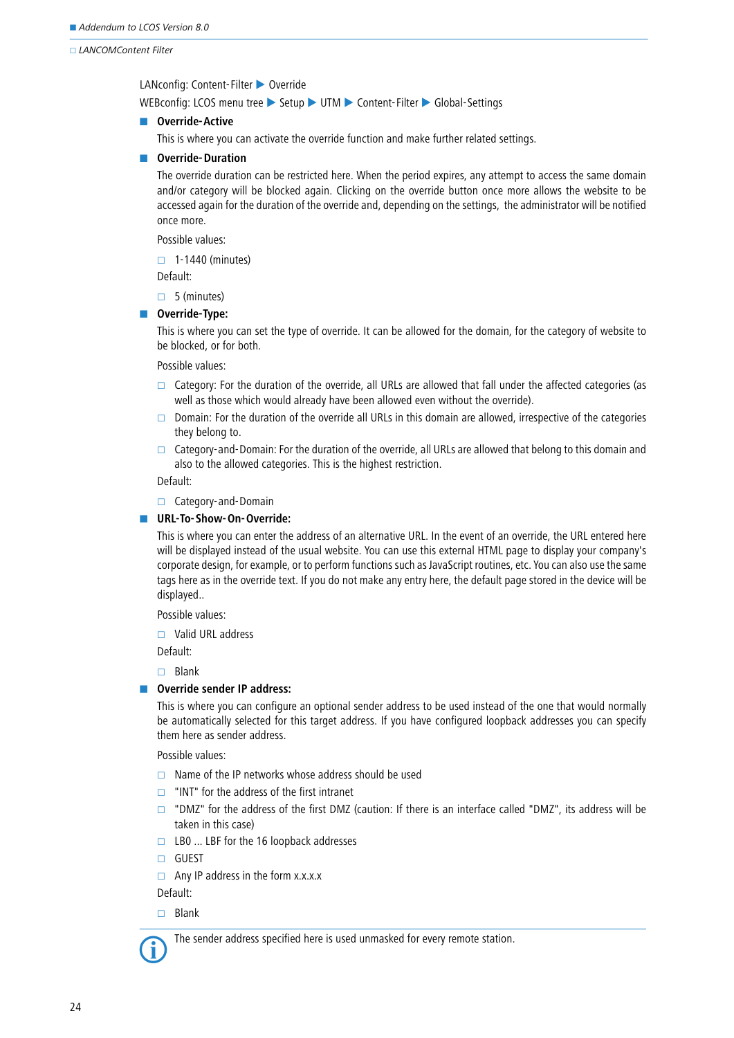LANconfig: Content-Filter > Override

WEBconfig: LCOS menu tree > Setup > UTM > Content-Filter > Global-Settings

### **Noverride-Active**

This is where you can activate the override function and make further related settings.

### **Noverride-Duration**

The override duration can be restricted here. When the period expires, any attempt to access the same domain and/or category will be blocked again. Clicking on the override button once more allows the website to be accessed again for the duration of the override and, depending on the settings, the administrator will be notified once more.

Possible values:

 $\Box$  1-1440 (minutes)

Default:

 $\Box$  5 (minutes)

### **Noverride-Type:**

This is where you can set the type of override. It can be allowed for the domain, for the category of website to be blocked, or for both.

Possible values:

- $\Box$  Category: For the duration of the override, all URLs are allowed that fall under the affected categories (as well as those which would already have been allowed even without the override).
- $\Box$  Domain: For the duration of the override all URLs in this domain are allowed, irrespective of the categories they belong to.
- $\Box$  Category-and-Domain: For the duration of the override, all URLs are allowed that belong to this domain and also to the allowed categories. This is the highest restriction.

Default:

□ Category-and-Domain

## **No. 3 URL-To-Show-On-Override:**

This is where you can enter the address of an alternative URL. In the event of an override, the URL entered here will be displayed instead of the usual website. You can use this external HTML page to display your company's corporate design, for example, or to perform functions such as JavaScript routines, etc. You can also use the same tags here as in the override text. If you do not make any entry here, the default page stored in the device will be displayed..

Possible values:

Valid URL address

Default:

 $\Box$  Blank

## **Noverride sender IP address:**

This is where you can configure an optional sender address to be used instead of the one that would normally be automatically selected for this target address. If you have configured loopback addresses you can specify them here as sender address.

Possible values:

- $\Box$  Name of the IP networks whose address should be used
- $\Box$  "INT" for the address of the first intranet
- $\Box$  "DMZ" for the address of the first DMZ (caution: If there is an interface called "DMZ", its address will be taken in this case)
- $\Box$  LB0 ... LBF for the 16 loopback addresses
- GUEST
- $\Box$  Any IP address in the form x.x.x.x.

Default:

 $\Box$  Blank

The sender address specified here is used unmasked for every remote station.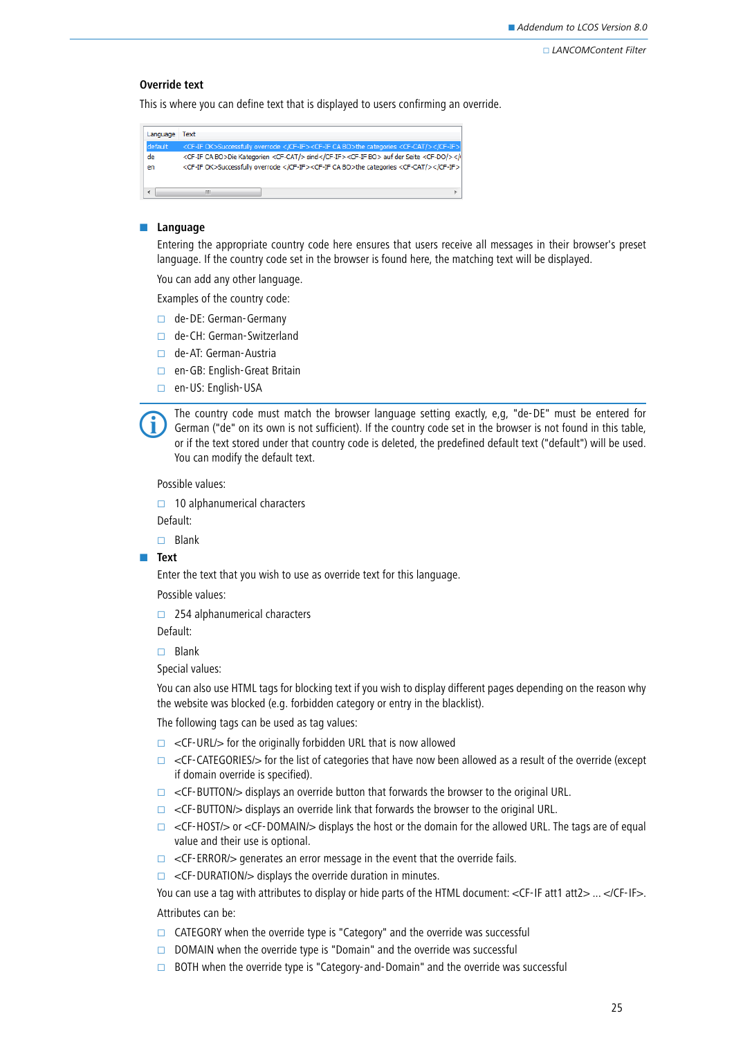## **Override text**

This is where you can define text that is displayed to users confirming an override.

| Language | Text                                                                                                                                                                                                                       |
|----------|----------------------------------------------------------------------------------------------------------------------------------------------------------------------------------------------------------------------------|
| default  | <cf-if ok="">Successfully overrode </cf-if> <cf-if bo="" ca="">the categories <cf-cat></cf-cat></cf-if>                                                                                                                    |
| de<br>en | <cf-if bo="" ca="">Die Kategorien <cf-cat></cf-cat> sind</cf-if> <cf-if bo=""> auf der Seite <cf-do></cf-do><cf-if ok="">Successfully overrode </cf-if><cf-if bo="" ca="">the categories <cf-cat></cf-cat></cf-if></cf-if> |
|          |                                                                                                                                                                                                                            |

#### **Language**

Entering the appropriate country code here ensures that users receive all messages in their browser's preset language. If the country code set in the browser is found here, the matching text will be displayed.

You can add any other language.

Examples of the country code:

- de-DE: German-Germany
- □ de-CH: German-Switzerland
- □ de-AT: German-Austria
- en-GB: English-Great Britain
- en-US: English-USA



 The country code must match the browser language setting exactly, e,g, "de-DE" must be entered for German ("de" on its own is not sufficient). If the country code set in the browser is not found in this table, or if the text stored under that country code is deleted, the predefined default text ("default") will be used. You can modify the default text.

Possible values:

 $\Box$  10 alphanumerical characters

Default:

 $\Box$  Blank

- **Text**

Enter the text that you wish to use as override text for this language.

Possible values:

 $\Box$  254 alphanumerical characters

Default:

 $\Box$  Blank

Special values:

You can also use HTML tags for blocking text if you wish to display different pages depending on the reason why the website was blocked (e.g. forbidden category or entry in the blacklist).

The following tags can be used as tag values:

- $\Box$  <CF-URL/> for the originally forbidden URL that is now allowed
- $\Box$  <CF-CATEGORIES/> for the list of categories that have now been allowed as a result of the override (except if domain override is specified).
- $\Box$  <CF-BUTTON/ $>$  displays an override button that forwards the browser to the original URL.
- $\Box$  <CF-BUTTON/> displays an override link that forwards the browser to the original URL.
- $\Box$  <CF-HOST/ $>$  or <CF-DOMAIN/ $>$  displays the host or the domain for the allowed URL. The tags are of equal value and their use is optional.
- $\Box$  <CF-ERROR/ $>$  generates an error message in the event that the override fails.
- $\Box$  <CF-DURATION/ $>$  displays the override duration in minutes.

You can use a tag with attributes to display or hide parts of the HTML document: <CF-IF att1 att2> ... </CF-IF>. Attributes can be:

- $\Box$  CATEGORY when the override type is "Category" and the override was successful
- $\Box$  DOMAIN when the override type is "Domain" and the override was successful
- $\Box$  BOTH when the override type is "Category-and-Domain" and the override was successful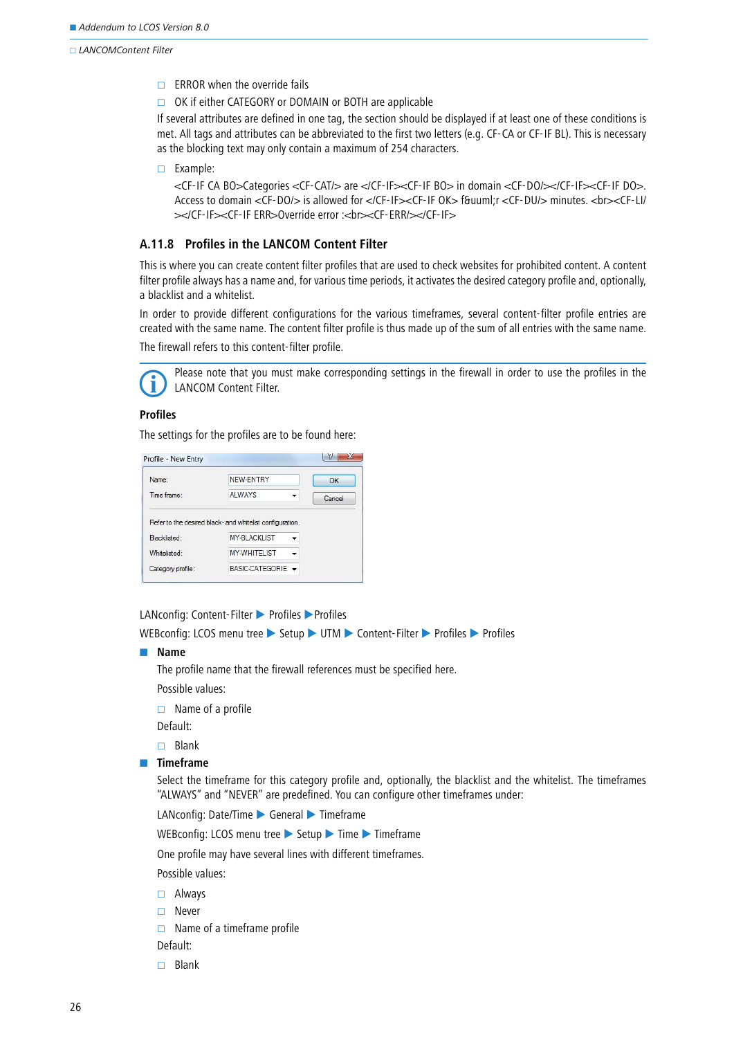$\Box$  ERROR when the override fails

 $\Box$  OK if either CATEGORY or DOMAIN or BOTH are applicable

If several attributes are defined in one tag, the section should be displayed if at least one of these conditions is met. All tags and attributes can be abbreviated to the first two letters (e.g. CF-CA or CF-IF BL). This is necessary as the blocking text may only contain a maximum of 254 characters.

Example:

<CF-IF CA BO>Categories <CF-CAT/> are </CF-IF><CF-IF BO> in domain <CF-DO/></CF-IF><CF-IF DO>. Access to domain <CF-DO/> is allowed for </CF-IF><CF-IF OK> f&uuml;r <CF-DU/> minutes. <br><CF-LI/ ></CF-IF><CF-IF FRR>Override error :<hr><CF-FRR/></CF-IF>

## **A.11.8 Profiles in the LANCOM Content Filter**

This is where you can create content filter profiles that are used to check websites for prohibited content. A content filter profile always has a name and, for various time periods, it activates the desired category profile and, optionally, a blacklist and a whitelist.

In order to provide different configurations for the various timeframes, several content-filter profile entries are created with the same name. The content filter profile is thus made up of the sum of all entries with the same name. The firewall refers to this content-filter profile.



 Please note that you must make corresponding settings in the firewall in order to use the profiles in the LANCOM Content Filter.

#### **Profiles**

The settings for the profiles are to be found here:

| Name:        | NEW-ENTRY                                                | OK     |
|--------------|----------------------------------------------------------|--------|
| Time frame:  | <b>ALWAYS</b>                                            | Cancel |
|              | Refer to the desired black- and whitelist configuration. |        |
| Blacklisted: | <b>MY-BLACKLIST</b>                                      |        |
| Whitelisted: | <b>MY-WHITELIST</b>                                      |        |

LANconfig: Content-Filter > Profiles > Profiles

WEBconfig: LCOS menu tree > Setup > UTM > Content-Filter > Profiles > Profiles

#### - **Name**

The profile name that the firewall references must be specified here.

- Possible values:
- $\Box$  Name of a profile

Default:

- $\Box$  Blank
- $\blacksquare$  Timeframe

Select the timeframe for this category profile and, optionally, the blacklist and the whitelist. The timeframes "ALWAYS" and "NEVER" are predefined. You can configure other timeframes under:

LANconfig: Date/Time > General > Timeframe

WEBconfig: LCOS menu tree Setup Time Timeframe

One profile may have several lines with different timeframes.

Possible values:

- Always
- □ Never

 $\Box$  Name of a timeframe profile

Default:

 $\Box$  Blank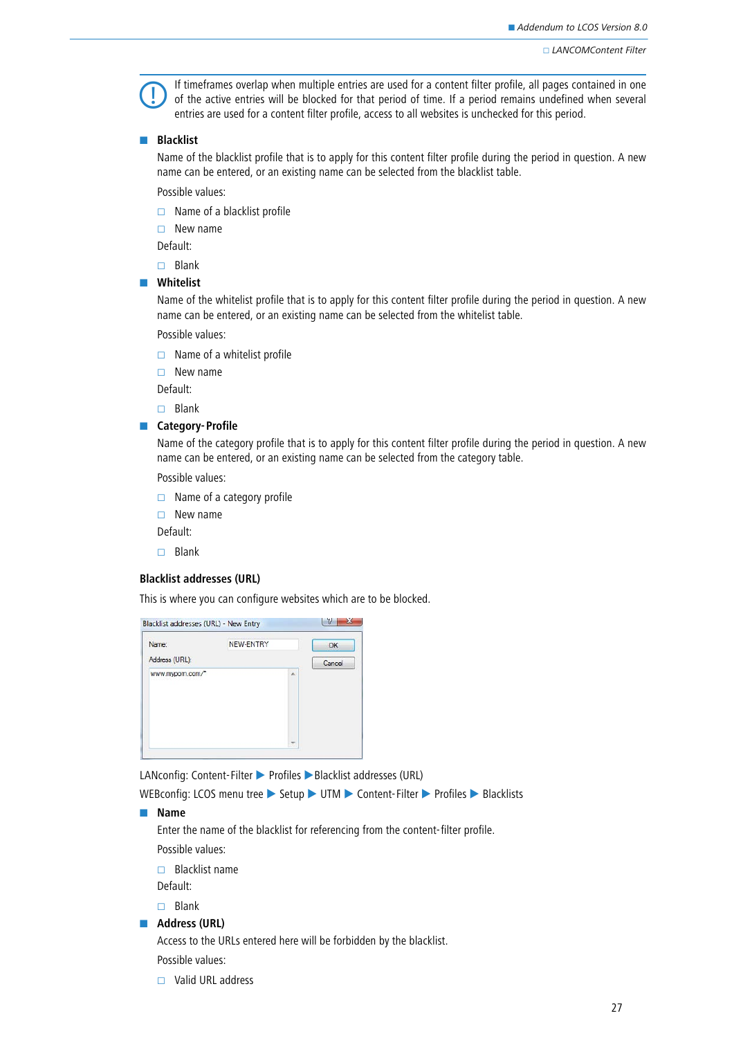If timeframes overlap when multiple entries are used for a content filter profile, all pages contained in one of the active entries will be blocked for that period of time. If a period remains undefined when several entries are used for a content filter profile, access to all websites is unchecked for this period.

### - **Blacklist**

Name of the blacklist profile that is to apply for this content filter profile during the period in question. A new name can be entered, or an existing name can be selected from the blacklist table.

Possible values:

 $\Box$  Name of a blacklist profile

 $\Box$  New name

Default:

 $\Box$  Blank

#### $\blacksquare$  Whitelist

Name of the whitelist profile that is to apply for this content filter profile during the period in question. A new name can be entered, or an existing name can be selected from the whitelist table.

Possible values:

 $\Box$  Name of a whitelist profile

 $\Box$  New name

Default:

 $\Box$  Blank

#### **E** Category-Profile

Name of the category profile that is to apply for this content filter profile during the period in question. A new name can be entered, or an existing name can be selected from the category table.

Possible values:

 $\Box$  Name of a category profile

 $\Box$  New name

Default:

 $\Box$  Blank

## **Blacklist addresses (URL)**

This is where you can configure websites which are to be blocked.

| Name:           | NEW-ENTRY |    | OK     |
|-----------------|-----------|----|--------|
| Address (URL):  |           |    | Cancel |
| www.mypom.com/* |           | z. |        |
|                 |           |    |        |

LANconfig: Content-Filter > Profiles > Blacklist addresses (URL)

WEBconfig: LCOS menu tree > Setup > UTM > Content-Filter > Profiles > Blacklists

#### - **Name**

Enter the name of the blacklist for referencing from the content-filter profile.

Possible values:

 $\Box$  Blacklist name

Default:

 $\Box$  Blank

### **Address (URL)**

Access to the URLs entered here will be forbidden by the blacklist.

Possible values:

 $\Box$  Valid URL address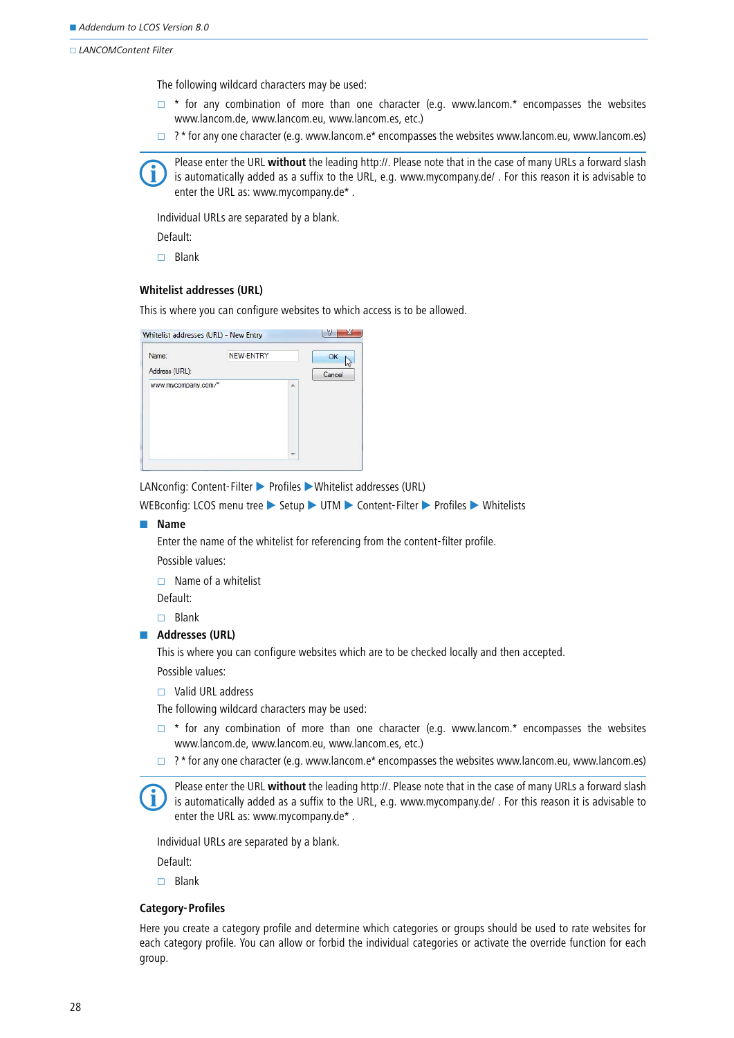The following wildcard characters may be used:

- $\Box$  \* for any combination of more than one character (e.g. www.lancom.\* encompasses the websites www.lancom.de, www.lancom.eu, www.lancom.es, etc.)
- $\Box$  ? \* for any one character (e.g. www.lancom.e\* encompasses the websites www.lancom.eu, www.lancom.es)

Please enter the URL **without** the leading http://. Please note that in the case of many URLs a forward slash is automatically added as a suffix to the URL, e.g. www.mycompany.de/ . For this reason it is advisable to enter the URL as: www.mycompany.de\* .

Individual URLs are separated by a blank.

Default:

 $\Box$  Blank

## **Whitelist addresses (URL)**

This is where you can configure websites to which access is to be allowed.

| Name:               | NEW-ENTRY |   | OK     |
|---------------------|-----------|---|--------|
| Address (URL):      |           |   | Cancel |
| www.mycompany.com/* |           | × |        |
|                     |           |   |        |

LANconfig: Content-Filter > Profiles > Whitelist addresses (URL)

WEBconfig: LCOS menu tree > Setup > UTM > Content-Filter > Profiles > Whitelists

#### - **Name**

Enter the name of the whitelist for referencing from the content-filter profile.

Possible values:

 $\Box$  Name of a whitelist

Default:

 $\Box$  Blank

#### **Addresses (URL)**

This is where you can configure websites which are to be checked locally and then accepted.

Possible values:

□ Valid URL address

The following wildcard characters may be used:

- $\Box$  \* for any combination of more than one character (e.g. www.lancom.\* encompasses the websites www.lancom.de, www.lancom.eu, www.lancom.es, etc.)
- $\Box$  ? \* for any one character (e.g. www.lancom.e\* encompasses the websites www.lancom.eu, www.lancom.es)

 Please enter the URL **without** the leading http://. Please note that in the case of many URLs a forward slash is automatically added as a suffix to the URL, e.g. www.mycompany.de/ . For this reason it is advisable to enter the URL as: www.mycompany.de\* .

Individual URLs are separated by a blank.

Default:

 $\Box$  Blank

#### **Category-Profiles**

Here you create a category profile and determine which categories or groups should be used to rate websites for each category profile. You can allow or forbid the individual categories or activate the override function for each group.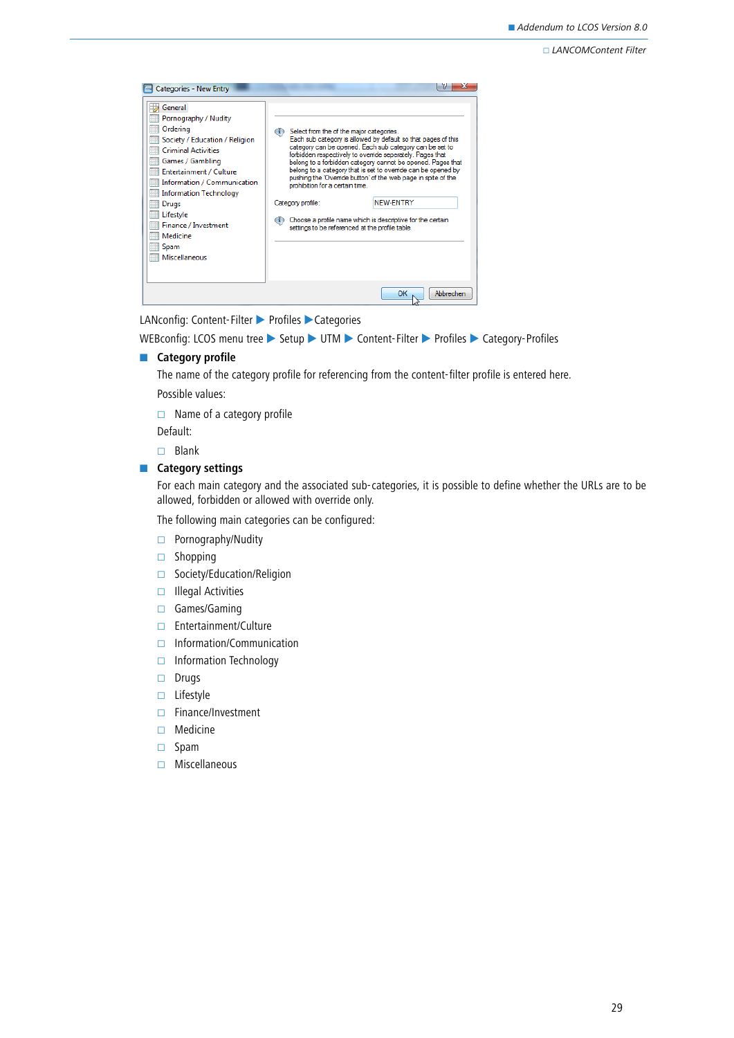| General<br>Pornography / Nudity<br>Ordering<br>Society / Education / Religion<br><b>Criminal Activities</b><br>Games / Gambling<br>Entertainment / Culture<br>Information / Communication<br>Information Technology<br>Drugs<br>Lifestyle<br>Finance / Investment<br>Medicine<br>Spam<br><b>Miscellaneous</b> | Select from the of the major categories.<br>$\bf (i)$<br>prohibition for a certain time.<br>Category profile:<br>Œ | Each sub category is allowed by default so that pages of this<br>category can be opened. Each sub category can be set to<br>forbidden respectively to override seperately. Pages that<br>belong to a forbidden category cannot be opened. Pages that<br>belong to a category that is set to override can be opened by<br>pushing the 'Ovenide button' of the web page in spite of the<br><b>NEW-ENTRY</b><br>Choose a profile name which is descriptive for the certain<br>settings to be referenced at the profile table. |
|---------------------------------------------------------------------------------------------------------------------------------------------------------------------------------------------------------------------------------------------------------------------------------------------------------------|--------------------------------------------------------------------------------------------------------------------|----------------------------------------------------------------------------------------------------------------------------------------------------------------------------------------------------------------------------------------------------------------------------------------------------------------------------------------------------------------------------------------------------------------------------------------------------------------------------------------------------------------------------|
|                                                                                                                                                                                                                                                                                                               |                                                                                                                    | Abbrechen<br>ок                                                                                                                                                                                                                                                                                                                                                                                                                                                                                                            |

LANconfig: Content-Filter ▶ Profiles ▶ Categories

```
WEBconfig: LCOS menu tree Setup VITM Content-Filter Profiles Category-Profiles
```
#### **E** Category profile

The name of the category profile for referencing from the content-filter profile is entered here. Possible values:

 $\Box$  Name of a category profile

Default:

 $\Box$  Blank

## **E** Category settings

For each main category and the associated sub-categories, it is possible to define whether the URLs are to be allowed, forbidden or allowed with override only.

The following main categories can be configured:

- $\Box$  Pornography/Nudity
- $\Box$  Shopping
- □ Society/Education/Religion
- $\Box$  Illegal Activities
- Games/Gaming
- Entertainment/Culture
- $\Box$  Information/Communication
- $\Box$  Information Technology
- $\square$  Drugs
- $\Box$  Lifestyle
- Finance/Investment
- □ Medicine
- $\square$  Spam
- $\Box$  Miscellaneous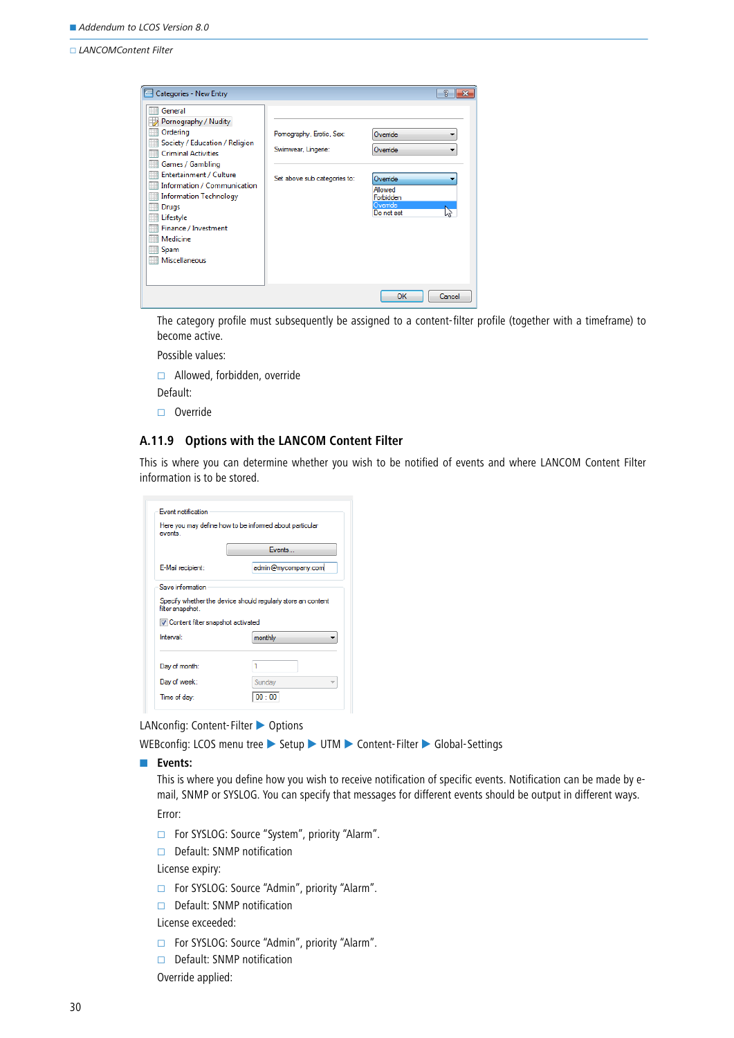| Categories - New Entry                                                                                                                                                                                                                                                                                        |                                                                                 |                                                                                  | $\mathcal{P}$<br>$\mathbf{x}$ |
|---------------------------------------------------------------------------------------------------------------------------------------------------------------------------------------------------------------------------------------------------------------------------------------------------------------|---------------------------------------------------------------------------------|----------------------------------------------------------------------------------|-------------------------------|
| General<br>Pornography / Nudity<br>Ordering<br>Society / Education / Religion<br><b>Criminal Activities</b><br>Games / Gambling<br>Entertainment / Culture<br>Information / Communication<br><b>Information Technology</b><br>Drugs<br>Lifestyle<br>Finance / Investment<br>Medicine<br>Spam<br>Miscellaneous | Pomography, Erotic, Sex:<br>Swimwear, Lingerie:<br>Set above sub categories to: | Ovemide<br>Ovemide<br>Override<br>Allowed<br>Forbidden<br>Override<br>Do not set | ▼                             |
|                                                                                                                                                                                                                                                                                                               |                                                                                 | OK                                                                               | Cancel                        |

The category profile must subsequently be assigned to a content-filter profile (together with a timeframe) to become active.

Possible values:

Allowed, forbidden, override

Default:

Override

## **A.11.9 Options with the LANCOM Content Filter**

This is where you can determine whether you wish to be notified of events and where LANCOM Content Filter information is to be stored.

| events                                                         | Here you may define how to be informed about particular      |
|----------------------------------------------------------------|--------------------------------------------------------------|
|                                                                | <b>Events</b>                                                |
| E-Mail recipient:                                              | admin@mycompany.com                                          |
| Save information                                               |                                                              |
|                                                                |                                                              |
|                                                                | Specify whether the device should regularly store an content |
| Ontent filter snapshot activated                               |                                                              |
|                                                                | monthly                                                      |
|                                                                | 1                                                            |
| filter snapshot.<br>Interval:<br>Day of month:<br>Day of week: | Sunday                                                       |

LANconfig: Content-Filter > Options

WEBconfig: LCOS menu tree > Setup > UTM > Content-Filter > Global-Settings

#### **Events:**

This is where you define how you wish to receive notification of specific events. Notification can be made by email, SNMP or SYSLOG. You can specify that messages for different events should be output in different ways.

Error:

- For SYSLOG: Source "System", priority "Alarm".
- Default: SNMP notification

License expiry:

- For SYSLOG: Source "Admin", priority "Alarm".
- $\Box$  Default: SNMP notification
- License exceeded:
- For SYSLOG: Source "Admin", priority "Alarm".
- Default: SNMP notification

Override applied: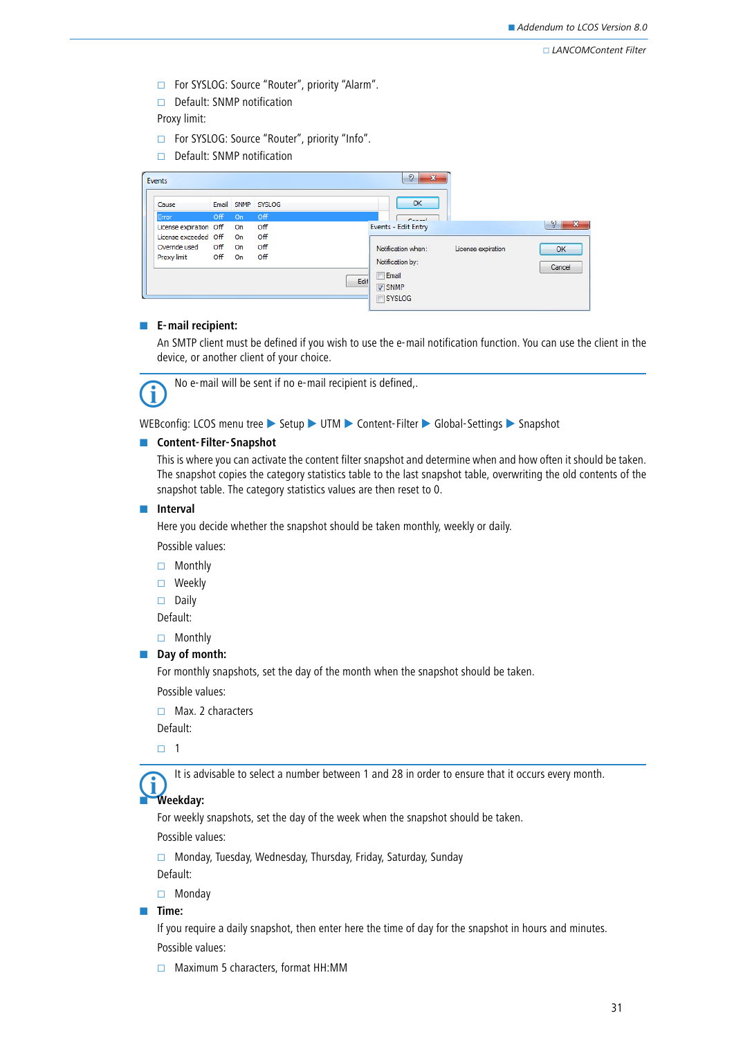For SYSLOG: Source "Router", priority "Alarm".

 $\Box$  Default: SNMP notification

Proxy limit:

- For SYSLOG: Source "Router", priority "Info".
- $\Box$  Default: SNMP notification

| Events                 |            |    |                   |      | X<br>2                  |                    |                   |
|------------------------|------------|----|-------------------|------|-------------------------|--------------------|-------------------|
| Cause                  |            |    | Email SNMP SYSLOG |      | OK                      |                    |                   |
| Error                  | <b>Off</b> | On | <b>Off</b>        |      | Cancell                 |                    |                   |
| License expiration Off |            | On | Off               |      | Events - Edit Entry     |                    | $- x$<br>$\gamma$ |
| License exceeded Off   |            | On | Off               |      |                         |                    |                   |
| Override used          | Off        | On | Off               |      | Notification when:      | License expiration | OK                |
| Proxy limit            | Off        | On | Off               |      | Notification by:        |                    | Cancel            |
|                        |            |    |                   | Edit | Email                   |                    |                   |
|                        |            |    |                   |      | <b>V SNMP</b><br>SYSLOG |                    |                   |

#### - **E-mail recipient:**

An SMTP client must be defined if you wish to use the e-mail notification function. You can use the client in the device, or another client of your choice.

No e-mail will be sent if no e-mail recipient is defined,.

WEBconfig: LCOS menu tree Setup VITM Content-Filter Global-Settings Snapshot

#### **E** Content-Filter-Snapshot

This is where you can activate the content filter snapshot and determine when and how often it should be taken. The snapshot copies the category statistics table to the last snapshot table, overwriting the old contents of the snapshot table. The category statistics values are then reset to 0.

#### $\blacksquare$  Interval

Here you decide whether the snapshot should be taken monthly, weekly or daily.

Possible values:

- □ Monthly
- □ Weekly

 $\square$  Daily

Default:

□ Monthly

#### **Day of month:**

For monthly snapshots, set the day of the month when the snapshot should be taken.

Possible values:

 $\Box$  Max. 2 characters

Default:

1

-

It is advisable to select a number between 1 and 28 in order to ensure that it occurs every month.

## **Weekday:**

For weekly snapshots, set the day of the week when the snapshot should be taken.

Possible values:

Monday, Tuesday, Wednesday, Thursday, Friday, Saturday, Sunday

Default:

□ Monday

#### - **Time:**

If you require a daily snapshot, then enter here the time of day for the snapshot in hours and minutes. Possible values:

 $\Box$  Maximum 5 characters, format HH:MM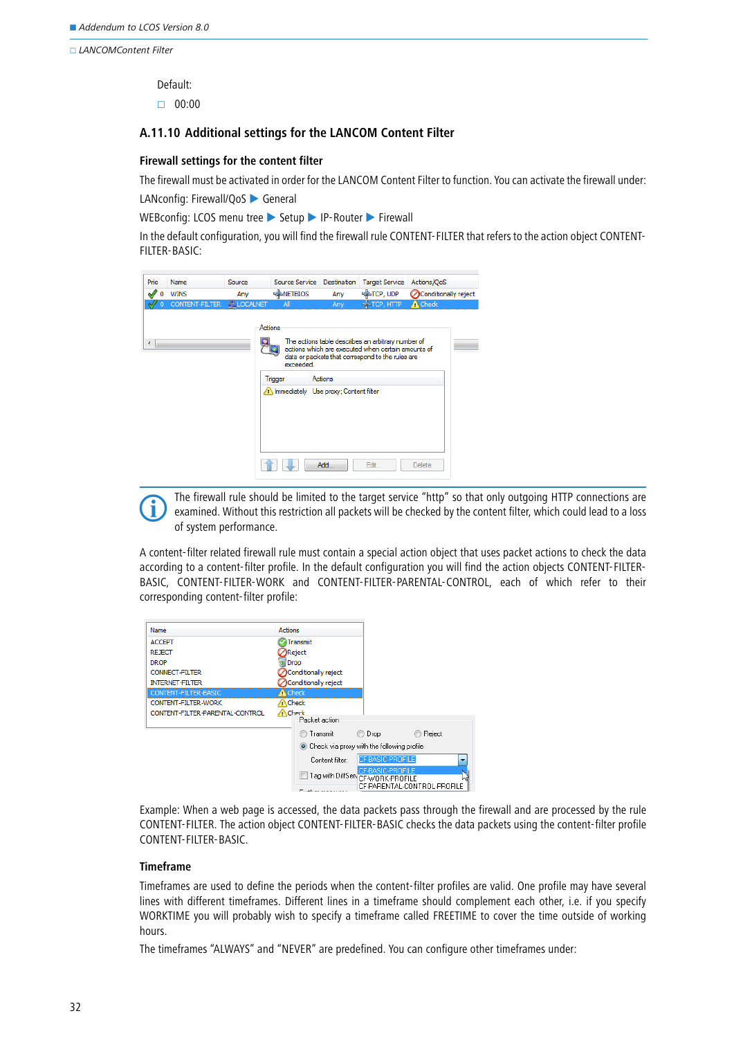Default:

 $\Box$  00:00

### **A.11.10 Additional settings for the LANCOM Content Filter**

#### **Firewall settings for the content filter**

The firewall must be activated in order for the LANCOM Content Filter to function. You can activate the firewall under:

LANconfig: Firewall/QoS > General

WEBconfig: LCOS menu tree Setup PIP-Router Firewall

In the default configuration, you will find the firewall rule CONTENT-FILTER that refers to the action object CONTENT-FILTER-BASIC:

| Prio                     | Name           | Source            | Source Service                                                           | <b>Destination</b> | <b>Target Service</b>                                                                                                                                        | Actions/QoS          |
|--------------------------|----------------|-------------------|--------------------------------------------------------------------------|--------------------|--------------------------------------------------------------------------------------------------------------------------------------------------------------|----------------------|
|                          | <b>WINS</b>    | Any               | <b>ANETBIOS</b>                                                          | Any                | <b>PATCP, UDP</b>                                                                                                                                            | Conditionally reject |
|                          | CONTENT-FILTER | <b>HALOCALNET</b> | All                                                                      | Anv                | <b>PANTCP, HTTP</b>                                                                                                                                          | <b>A</b> Check       |
| $\overline{\phantom{a}}$ |                |                   | Actions<br>exceeded.<br>Trigger<br>Immediately Use proxy; Content filter | Actions            | The actions table describes an arbitrary number of<br>actions which are executed when certain amounts of<br>data or packets that correspond to the rules are |                      |
|                          |                |                   |                                                                          | Add                | Edit                                                                                                                                                         | Delete               |



The firewall rule should be limited to the target service "http" so that only outgoing HTTP connections are<br>examined. Without this restriction all packets will be checked by the content filter, which could lead to a loss examined. Without this restriction all packets will be checked by the content filter, which could lead to a loss of system performance.

A content-filter related firewall rule must contain a special action object that uses packet actions to check the data according to a content-filter profile. In the default configuration you will find the action objects CONTENT-FILTER-BASIC, CONTENT-FILTER-WORK and CONTENT-FILTER-PARENTAL-CONTROL, each of which refer to their corresponding content-filter profile:



Example: When a web page is accessed, the data packets pass through the firewall and are processed by the rule CONTENT-FILTER. The action object CONTENT-FILTER-BASIC checks the data packets using the content-filter profile CONTENT-FILTER-BASIC.

### **Timeframe**

Timeframes are used to define the periods when the content-filter profiles are valid. One profile may have several lines with different timeframes. Different lines in a timeframe should complement each other, i.e. if you specify WORKTIME you will probably wish to specify a timeframe called FREETIME to cover the time outside of working hours.

The timeframes "ALWAYS" and "NEVER" are predefined. You can configure other timeframes under: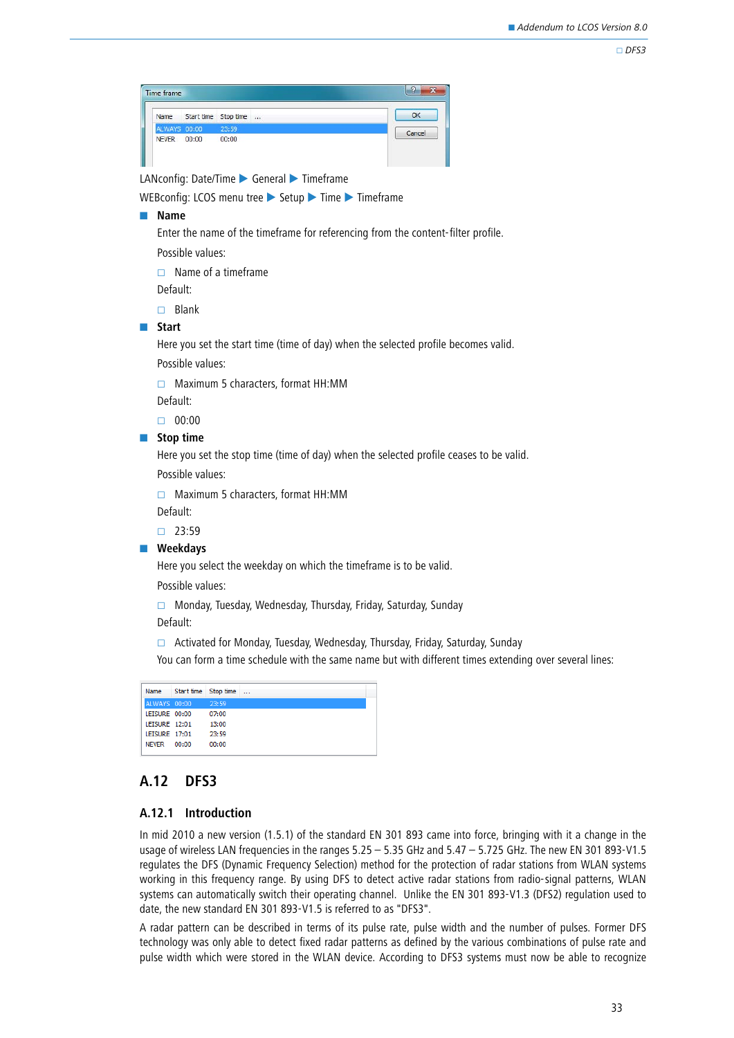#### $\Box$ DFS3



LANconfig: Date/Time General Timeframe

WEBconfig: LCOS menu tree > Setup > Time > Timeframe

#### - **Name**

Enter the name of the timeframe for referencing from the content-filter profile. Possible values:

 $\Box$  Name of a timeframe

Default:

 $\Box$  Blank

#### **■** Start

Here you set the start time (time of day) when the selected profile becomes valid. Possible values:

□ Maximum 5 characters, format HH:MM

Default:

 $\Box$  00:00

## $\blacksquare$  Stop time

Here you set the stop time (time of day) when the selected profile ceases to be valid.

Possible values:

 $\Box$  Maximum 5 characters, format HH:MM

Default:

 $\Box$  23:59

#### - **Weekdays**

Here you select the weekday on which the timeframe is to be valid.

Possible values:

 $\Box$  Monday, Tuesday, Wednesday, Thursday, Friday, Saturday, Sunday Default:

 $\Box$  Activated for Monday, Tuesday, Wednesday, Thursday, Friday, Saturday, Sunday

You can form a time schedule with the same name but with different times extending over several lines:

| Name          | Start time Stop time |       | $\sim$ |
|---------------|----------------------|-------|--------|
| ALWAYS 00:00  |                      | 23:59 |        |
| LEISURE 00:00 |                      | 07:00 |        |
| LEISURE 12:01 |                      | 13:00 |        |
| LEISURE 17:01 |                      | 23:59 |        |
| <b>NFVFR</b>  | 00:00                | 00:00 |        |
|               |                      |       |        |

## <span id="page-32-0"></span>**A.12 DFS3**

#### **A.12.1 Introduction**

In mid 2010 a new version (1.5.1) of the standard EN 301 893 came into force, bringing with it a change in the usage of wireless LAN frequencies in the ranges 5.25 – 5.35 GHz and 5.47 – 5.725 GHz. The new EN 301 893-V1.5 regulates the DFS (Dynamic Frequency Selection) method for the protection of radar stations from WLAN systems working in this frequency range. By using DFS to detect active radar stations from radio-signal patterns, WLAN systems can automatically switch their operating channel. Unlike the EN 301 893-V1.3 (DFS2) regulation used to date, the new standard EN 301 893-V1.5 is referred to as "DFS3".

A radar pattern can be described in terms of its pulse rate, pulse width and the number of pulses. Former DFS technology was only able to detect fixed radar patterns as defined by the various combinations of pulse rate and pulse width which were stored in the WLAN device. According to DFS3 systems must now be able to recognize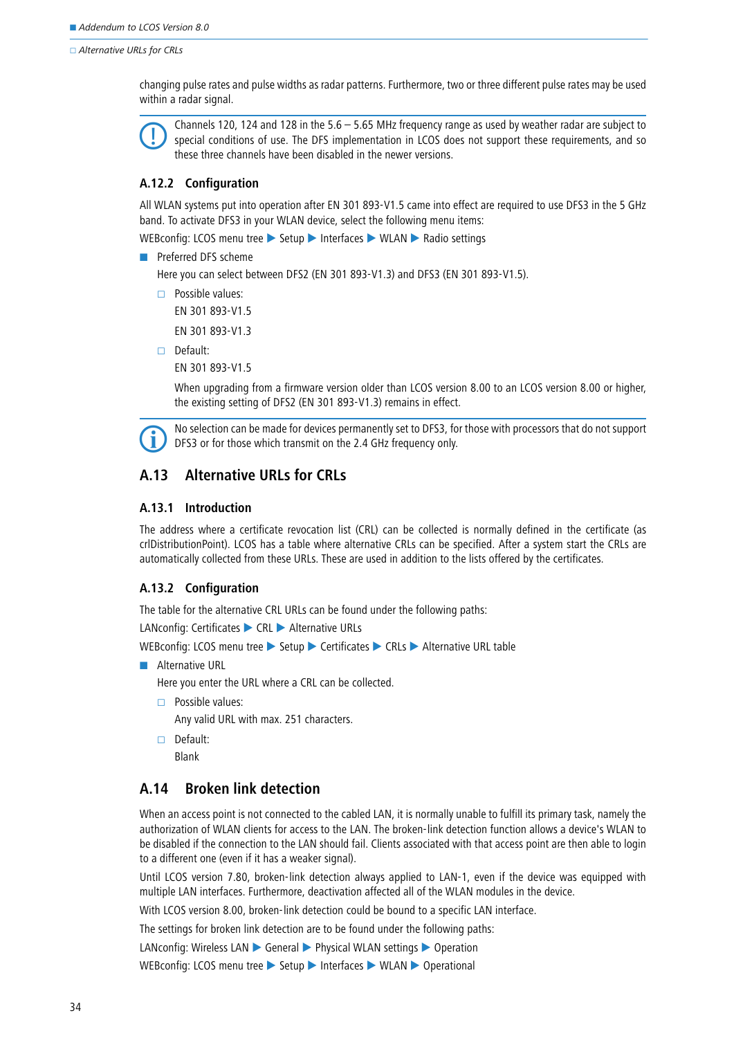□ Alternative URLs for CRLs

changing pulse rates and pulse widths as radar patterns. Furthermore, two or three different pulse rates may be used within a radar signal.

 Channels 120, 124 and 128 in the 5.6 – 5.65 MHz frequency range as used by weather radar are subject to special conditions of use. The DFS implementation in LCOS does not support these requirements, and so these three channels have been disabled in the newer versions.

## **A.12.2 Configuration**

All WLAN systems put into operation after EN 301 893-V1.5 came into effect are required to use DFS3 in the 5 GHz band. To activate DFS3 in your WLAN device, select the following menu items:

WEBconfig: LCOS menu tree Setup Interfaces WLAN Radio settings

**Preferred DFS scheme** 

Here you can select between DFS2 (EN 301 893-V1.3) and DFS3 (EN 301 893-V1.5).

 $\Box$  Possible values:

EN 301 893-V1.5

EN 301 893-V1.3

Default:

EN 301 893-V1.5

When upgrading from a firmware version older than LCOS version 8.00 to an LCOS version 8.00 or higher, the existing setting of DFS2 (EN 301 893-V1.3) remains in effect.

 No selection can be made for devices permanently set to DFS3, for those with processors that do not support DFS3 or for those which transmit on the 2.4 GHz frequency only.

## <span id="page-33-0"></span>**A.13 Alternative URLs for CRLs**

## **A.13.1 Introduction**

The address where a certificate revocation list (CRL) can be collected is normally defined in the certificate (as crlDistributionPoint). LCOS has a table where alternative CRLs can be specified. After a system start the CRLs are automatically collected from these URLs. These are used in addition to the lists offered by the certificates.

## **A.13.2 Configuration**

The table for the alternative CRL URLs can be found under the following paths:

LANconfig: Certificates CRL Alternative URLs

WEBconfig: LCOS menu tree > Setup > Certificates > CRLs > Alternative URL table

**Alternative URL** 

Here you enter the URL where a CRL can be collected.

 $\Box$  Possible values:

Any valid URL with max. 251 characters.

Default: Blank

## <span id="page-33-1"></span>**A.14 Broken link detection**

When an access point is not connected to the cabled LAN, it is normally unable to fulfill its primary task, namely the authorization of WLAN clients for access to the LAN. The broken-link detection function allows a device's WLAN to be disabled if the connection to the LAN should fail. Clients associated with that access point are then able to login to a different one (even if it has a weaker signal).

Until LCOS version 7.80, broken-link detection always applied to LAN-1, even if the device was equipped with multiple LAN interfaces. Furthermore, deactivation affected all of the WLAN modules in the device.

With LCOS version 8.00, broken-link detection could be bound to a specific LAN interface.

The settings for broken link detection are to be found under the following paths:

LANconfig: Wireless LAN  $\triangleright$  General  $\triangleright$  Physical WLAN settings  $\triangleright$  Operation

WEBconfig: LCOS menu tree Setup Interfaces WILAN Deperational